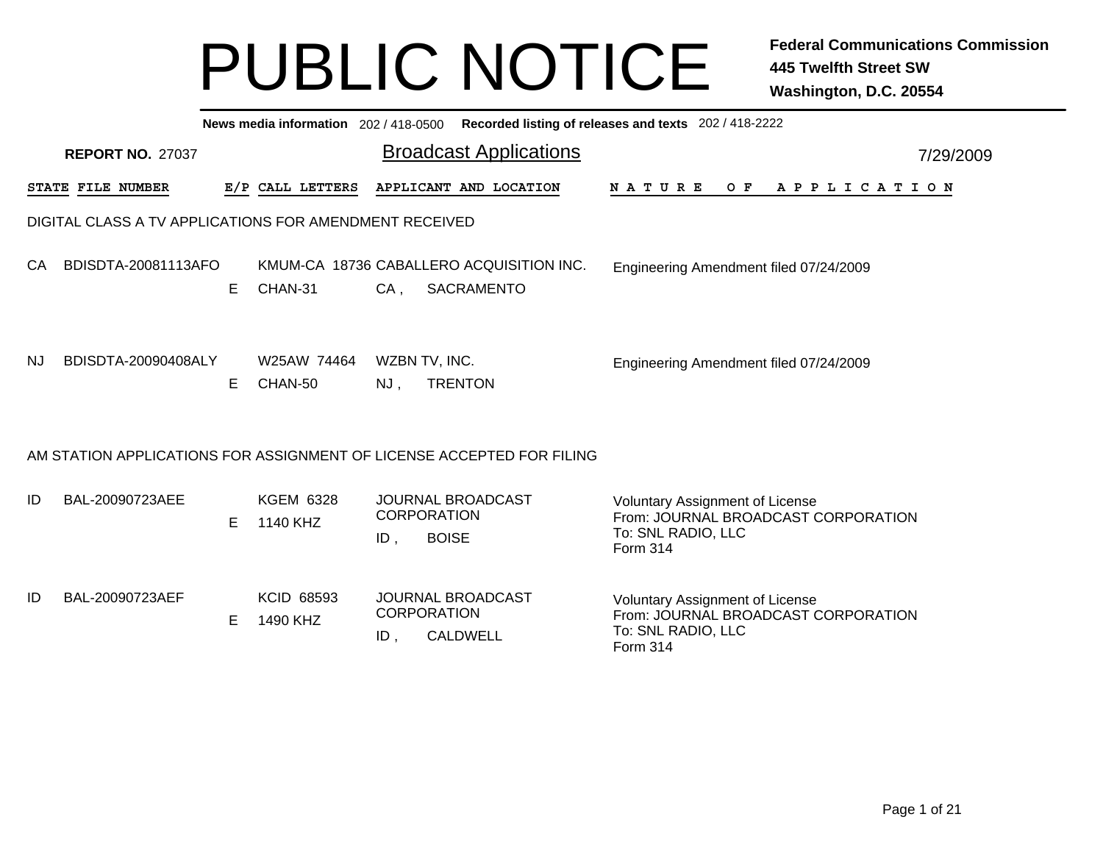|           | Recorded listing of releases and texts 202 / 418-2222<br>News media information 202/418-0500 |    |                               |                           |                                                                       |                                                                                                                 |           |  |  |  |  |  |
|-----------|----------------------------------------------------------------------------------------------|----|-------------------------------|---------------------------|-----------------------------------------------------------------------|-----------------------------------------------------------------------------------------------------------------|-----------|--|--|--|--|--|
|           | <b>REPORT NO. 27037</b>                                                                      |    |                               |                           | <b>Broadcast Applications</b>                                         |                                                                                                                 | 7/29/2009 |  |  |  |  |  |
|           | STATE FILE NUMBER                                                                            |    | E/P CALL LETTERS              |                           | APPLICANT AND LOCATION                                                | N A T U R E<br>O F<br>A P P L I C A T I O N                                                                     |           |  |  |  |  |  |
|           | DIGITAL CLASS A TV APPLICATIONS FOR AMENDMENT RECEIVED                                       |    |                               |                           |                                                                       |                                                                                                                 |           |  |  |  |  |  |
| CA        | BDISDTA-20081113AFO                                                                          | E. | CHAN-31                       | CA.                       | KMUM-CA 18736 CABALLERO ACQUISITION INC.<br><b>SACRAMENTO</b>         | Engineering Amendment filed 07/24/2009                                                                          |           |  |  |  |  |  |
| <b>NJ</b> | BDISDTA-20090408ALY                                                                          | E. | W25AW 74464<br>CHAN-50        | WZBN TV, INC.<br>NJ,      | <b>TRENTON</b>                                                        | Engineering Amendment filed 07/24/2009                                                                          |           |  |  |  |  |  |
|           |                                                                                              |    |                               |                           | AM STATION APPLICATIONS FOR ASSIGNMENT OF LICENSE ACCEPTED FOR FILING |                                                                                                                 |           |  |  |  |  |  |
| ID        | BAL-20090723AEE                                                                              | E. | <b>KGEM 6328</b><br>1140 KHZ  | <b>CORPORATION</b><br>ID, | <b>JOURNAL BROADCAST</b><br><b>BOISE</b>                              | <b>Voluntary Assignment of License</b><br>From: JOURNAL BROADCAST CORPORATION<br>To: SNL RADIO, LLC<br>Form 314 |           |  |  |  |  |  |
| ID        | BAL-20090723AEF                                                                              | E  | <b>KCID 68593</b><br>1490 KHZ | <b>CORPORATION</b><br>ID. | <b>JOURNAL BROADCAST</b><br><b>CALDWELL</b>                           | <b>Voluntary Assignment of License</b><br>From: JOURNAL BROADCAST CORPORATION<br>To: SNL RADIO, LLC<br>Form 314 |           |  |  |  |  |  |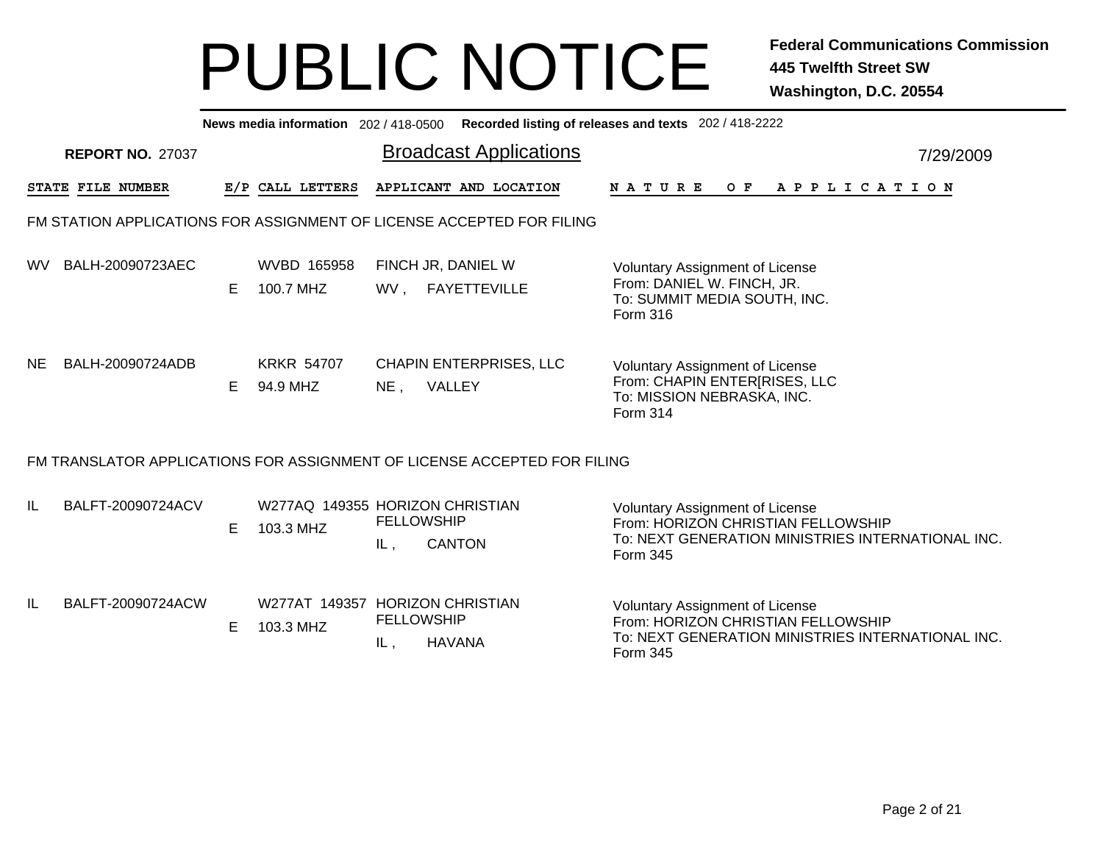|           | News media information 202 / 418-0500<br>Recorded listing of releases and texts 202 / 418-2222 |   |                               |                                                                              |                                                                                                                                               |  |  |  |  |  |  |  |  |
|-----------|------------------------------------------------------------------------------------------------|---|-------------------------------|------------------------------------------------------------------------------|-----------------------------------------------------------------------------------------------------------------------------------------------|--|--|--|--|--|--|--|--|
|           | <b>REPORT NO. 27037</b>                                                                        |   |                               | <b>Broadcast Applications</b>                                                | 7/29/2009                                                                                                                                     |  |  |  |  |  |  |  |  |
|           | STATE FILE NUMBER                                                                              |   | E/P CALL LETTERS              | APPLICANT AND LOCATION                                                       | OF APPLICATION<br>N A T U R E                                                                                                                 |  |  |  |  |  |  |  |  |
|           |                                                                                                |   |                               | FM STATION APPLICATIONS FOR ASSIGNMENT OF LICENSE ACCEPTED FOR FILING        |                                                                                                                                               |  |  |  |  |  |  |  |  |
| WV.       | BALH-20090723AEC                                                                               | E | WVBD 165958<br>100.7 MHZ      | FINCH JR, DANIEL W<br>WV, FAYETTEVILLE                                       | Voluntary Assignment of License<br>From: DANIEL W. FINCH, JR.<br>To: SUMMIT MEDIA SOUTH, INC.<br><b>Form 316</b>                              |  |  |  |  |  |  |  |  |
| <b>NE</b> | BALH-20090724ADB                                                                               | E | <b>KRKR 54707</b><br>94.9 MHZ | <b>CHAPIN ENTERPRISES, LLC</b><br>VALLEY<br>$NE$ ,                           | Voluntary Assignment of License<br>From: CHAPIN ENTER[RISES, LLC<br>To: MISSION NEBRASKA, INC.<br><b>Form 314</b>                             |  |  |  |  |  |  |  |  |
|           |                                                                                                |   |                               | FM TRANSLATOR APPLICATIONS FOR ASSIGNMENT OF LICENSE ACCEPTED FOR FILING     |                                                                                                                                               |  |  |  |  |  |  |  |  |
| IL        | BALFT-20090724ACV                                                                              | E | 103.3 MHZ                     | W277AQ 149355 HORIZON CHRISTIAN<br><b>FELLOWSHIP</b><br><b>CANTON</b><br>IL, | <b>Voluntary Assignment of License</b><br>From: HORIZON CHRISTIAN FELLOWSHIP<br>To: NEXT GENERATION MINISTRIES INTERNATIONAL INC.<br>Form 345 |  |  |  |  |  |  |  |  |
| IL        | BALFT-20090724ACW                                                                              | E | 103.3 MHZ                     | W277AT 149357 HORIZON CHRISTIAN<br><b>FELLOWSHIP</b><br><b>HAVANA</b><br>IL, | Voluntary Assignment of License<br>From: HORIZON CHRISTIAN FELLOWSHIP<br>To: NEXT GENERATION MINISTRIES INTERNATIONAL INC.<br>Form 345        |  |  |  |  |  |  |  |  |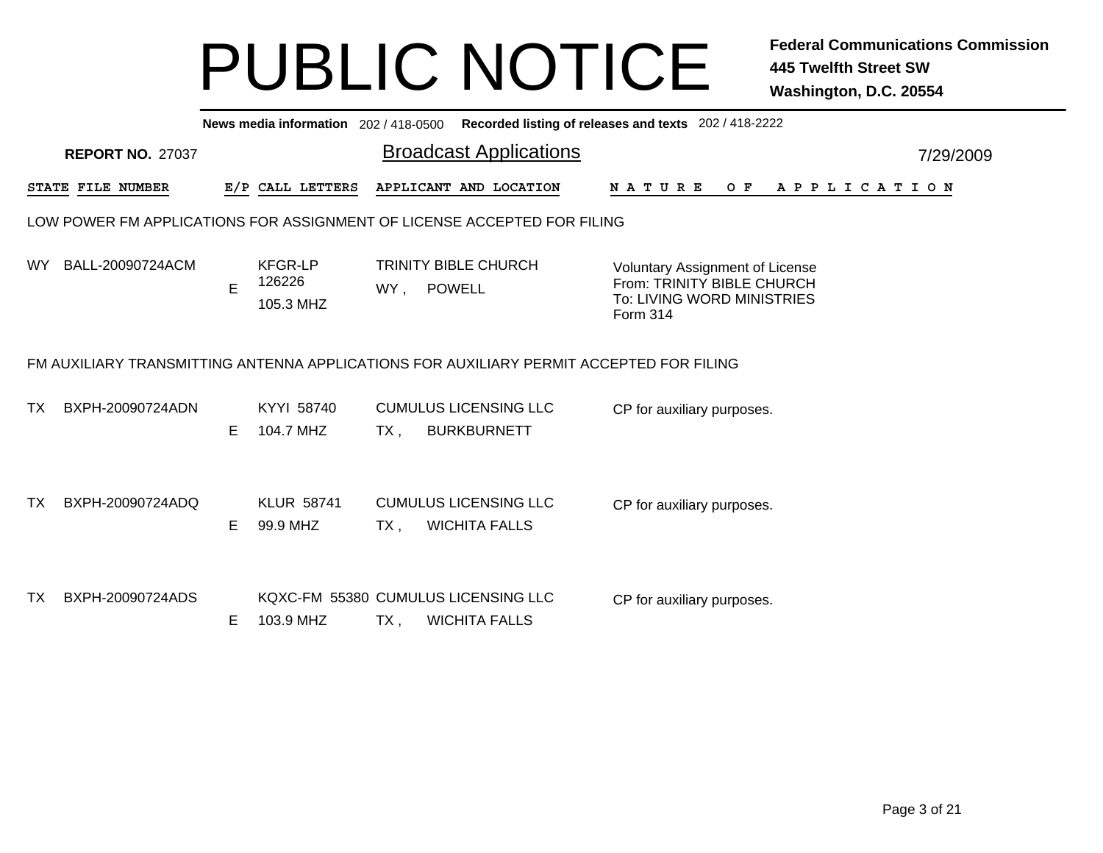|     | Recorded listing of releases and texts 202 / 418-2222<br>News media information 202 / 418-0500 |    |                                       |        |                                                                                         |                                                                                                         |           |  |  |  |  |  |  |
|-----|------------------------------------------------------------------------------------------------|----|---------------------------------------|--------|-----------------------------------------------------------------------------------------|---------------------------------------------------------------------------------------------------------|-----------|--|--|--|--|--|--|
|     | <b>REPORT NO. 27037</b>                                                                        |    |                                       |        | <b>Broadcast Applications</b>                                                           |                                                                                                         | 7/29/2009 |  |  |  |  |  |  |
|     | STATE FILE NUMBER                                                                              |    | E/P CALL LETTERS                      |        | APPLICANT AND LOCATION                                                                  | O F<br>A P P L I C A T I O N<br>N A T U R E                                                             |           |  |  |  |  |  |  |
|     |                                                                                                |    |                                       |        | LOW POWER FM APPLICATIONS FOR ASSIGNMENT OF LICENSE ACCEPTED FOR FILING                 |                                                                                                         |           |  |  |  |  |  |  |
| WY. | BALL-20090724ACM                                                                               | E  | <b>KFGR-LP</b><br>126226<br>105.3 MHZ | WY,    | <b>TRINITY BIBLE CHURCH</b><br><b>POWELL</b>                                            | Voluntary Assignment of License<br>From: TRINITY BIBLE CHURCH<br>To: LIVING WORD MINISTRIES<br>Form 314 |           |  |  |  |  |  |  |
|     |                                                                                                |    |                                       |        | FM AUXILIARY TRANSMITTING ANTENNA APPLICATIONS FOR AUXILIARY PERMIT ACCEPTED FOR FILING |                                                                                                         |           |  |  |  |  |  |  |
| TX. | BXPH-20090724ADN                                                                               | E. | KYYI 58740<br>104.7 MHZ               | $TX$ , | <b>CUMULUS LICENSING LLC</b><br><b>BURKBURNETT</b>                                      | CP for auxiliary purposes.                                                                              |           |  |  |  |  |  |  |
| ТX  | BXPH-20090724ADQ                                                                               | E. | <b>KLUR 58741</b><br>99.9 MHZ         | $TX$ , | <b>CUMULUS LICENSING LLC</b><br><b>WICHITA FALLS</b>                                    | CP for auxiliary purposes.                                                                              |           |  |  |  |  |  |  |
| ТX  | BXPH-20090724ADS                                                                               | Е  | 103.9 MHZ                             | $TX$ , | KQXC-FM 55380 CUMULUS LICENSING LLC<br><b>WICHITA FALLS</b>                             | CP for auxiliary purposes.                                                                              |           |  |  |  |  |  |  |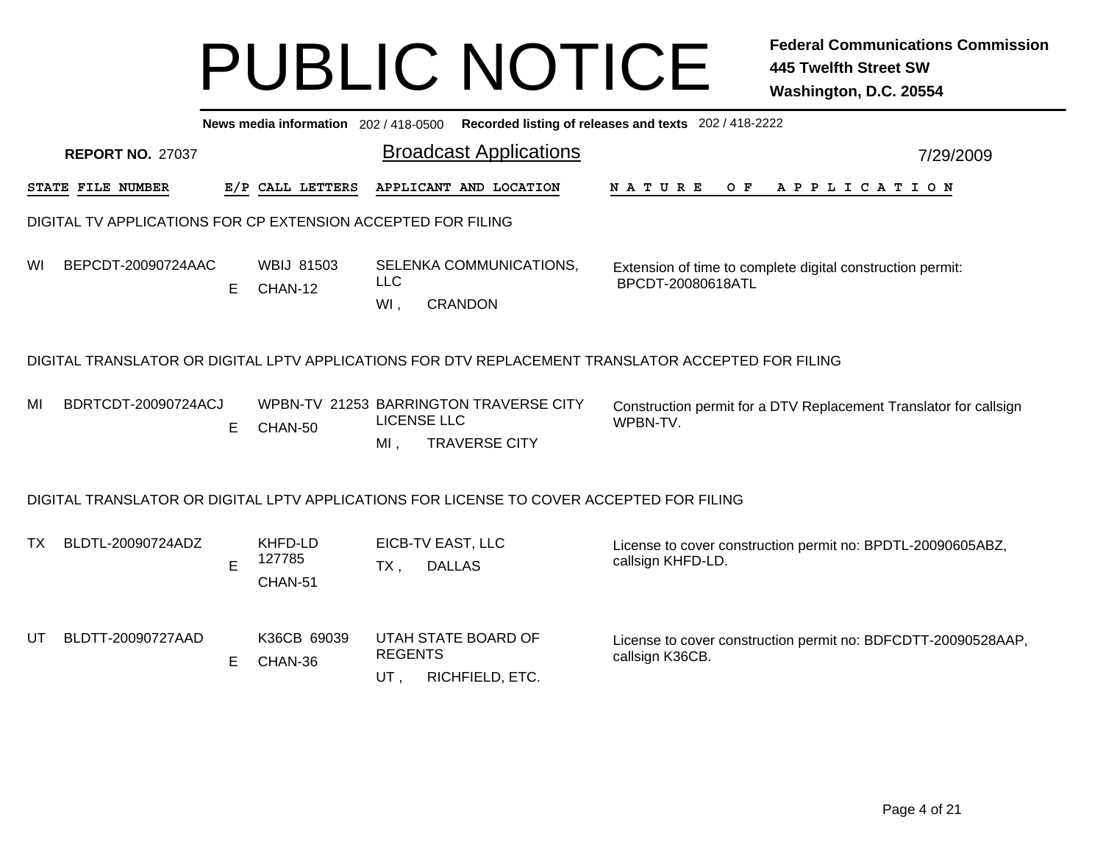|           | News media information 202 / 418-0500 Recorded listing of releases and texts 202 / 418-2222 |    |                              |                           |                                                                                          |                                                                                                    |           |  |  |  |  |  |
|-----------|---------------------------------------------------------------------------------------------|----|------------------------------|---------------------------|------------------------------------------------------------------------------------------|----------------------------------------------------------------------------------------------------|-----------|--|--|--|--|--|
|           | <b>REPORT NO. 27037</b>                                                                     |    |                              |                           | <b>Broadcast Applications</b>                                                            |                                                                                                    | 7/29/2009 |  |  |  |  |  |
|           | STATE FILE NUMBER                                                                           |    | E/P CALL LETTERS             |                           | APPLICANT AND LOCATION                                                                   | O F<br>N A T U R E<br>A P P L I C A T I O N                                                        |           |  |  |  |  |  |
|           | DIGITAL TV APPLICATIONS FOR CP EXTENSION ACCEPTED FOR FILING                                |    |                              |                           |                                                                                          |                                                                                                    |           |  |  |  |  |  |
| WI        | BEPCDT-20090724AAC                                                                          | E. | <b>WBIJ 81503</b><br>CHAN-12 | <b>LLC</b><br>WI,         | SELENKA COMMUNICATIONS,<br><b>CRANDON</b>                                                | Extension of time to complete digital construction permit:<br>BPCDT-20080618ATL                    |           |  |  |  |  |  |
|           |                                                                                             |    |                              |                           |                                                                                          | DIGITAL TRANSLATOR OR DIGITAL LPTV APPLICATIONS FOR DTV REPLACEMENT TRANSLATOR ACCEPTED FOR FILING |           |  |  |  |  |  |
| MI        | BDRTCDT-20090724ACJ                                                                         | E  | CHAN-50                      | <b>LICENSE LLC</b><br>MI. | WPBN-TV 21253 BARRINGTON TRAVERSE CITY<br><b>TRAVERSE CITY</b>                           | Construction permit for a DTV Replacement Translator for callsign<br>WPBN-TV.                      |           |  |  |  |  |  |
|           |                                                                                             |    |                              |                           | DIGITAL TRANSLATOR OR DIGITAL LPTV APPLICATIONS FOR LICENSE TO COVER ACCEPTED FOR FILING |                                                                                                    |           |  |  |  |  |  |
| <b>TX</b> | BLDTL-20090724ADZ                                                                           | E  | KHFD-LD<br>127785<br>CHAN-51 | $TX$ ,                    | EICB-TV EAST, LLC<br><b>DALLAS</b>                                                       | License to cover construction permit no: BPDTL-20090605ABZ,<br>callsign KHFD-LD.                   |           |  |  |  |  |  |
| UT        | BLDTT-20090727AAD                                                                           | E  | K36CB 69039<br>CHAN-36       | <b>REGENTS</b><br>UT,     | UTAH STATE BOARD OF<br>RICHFIELD, ETC.                                                   | License to cover construction permit no: BDFCDTT-20090528AAP,<br>callsign K36CB.                   |           |  |  |  |  |  |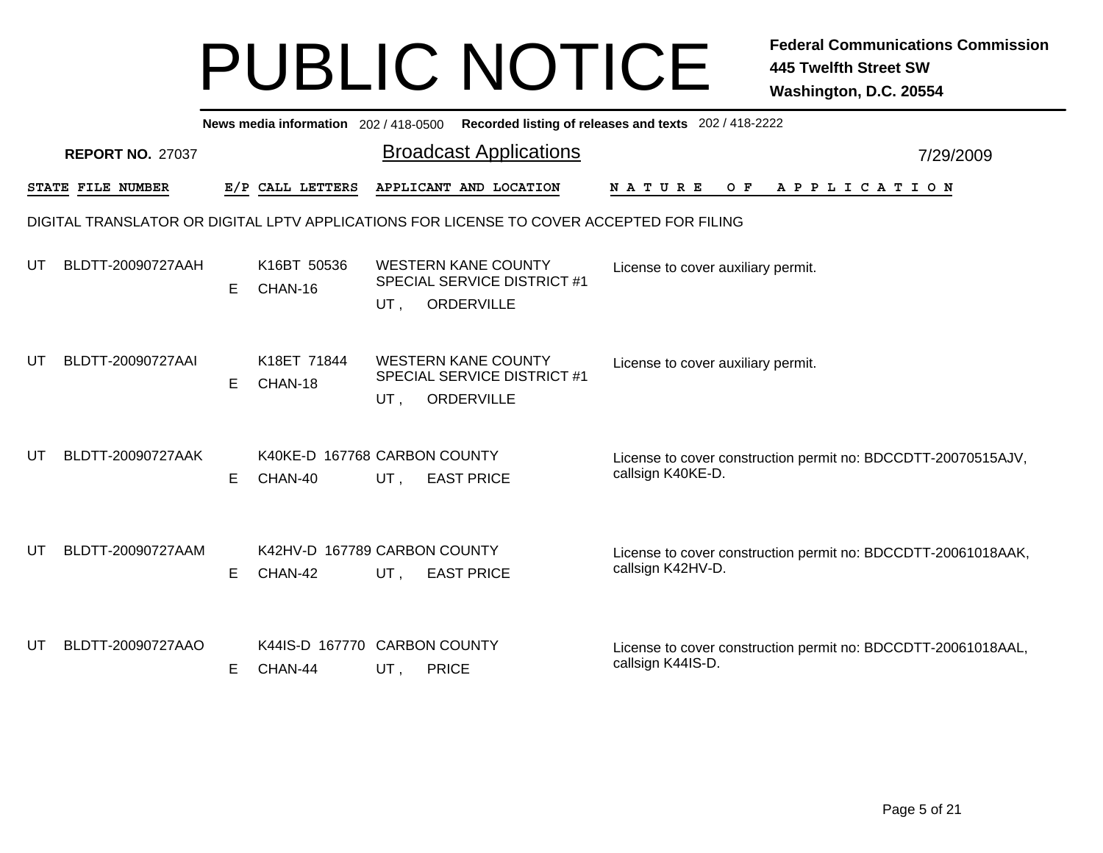|    | Recorded listing of releases and texts 202 / 418-2222<br>News media information 202 / 418-0500 |    |                        |                                                                                       |  |                                                                                    |           |  |  |  |  |  |  |
|----|------------------------------------------------------------------------------------------------|----|------------------------|---------------------------------------------------------------------------------------|--|------------------------------------------------------------------------------------|-----------|--|--|--|--|--|--|
|    | <b>REPORT NO. 27037</b>                                                                        |    |                        | <b>Broadcast Applications</b>                                                         |  |                                                                                    | 7/29/2009 |  |  |  |  |  |  |
|    | STATE FILE NUMBER                                                                              |    | E/P CALL LETTERS       | APPLICANT AND LOCATION                                                                |  | <b>NATURE</b><br>O F<br>A P P L I C A T I O N                                      |           |  |  |  |  |  |  |
|    | DIGITAL TRANSLATOR OR DIGITAL LPTV APPLICATIONS FOR LICENSE TO COVER ACCEPTED FOR FILING       |    |                        |                                                                                       |  |                                                                                    |           |  |  |  |  |  |  |
| UT | BLDTT-20090727AAH                                                                              | E. | K16BT 50536<br>CHAN-16 | <b>WESTERN KANE COUNTY</b><br><b>SPECIAL SERVICE DISTRICT #1</b><br>ORDERVILLE<br>UT, |  | License to cover auxiliary permit.                                                 |           |  |  |  |  |  |  |
| UT | BLDTT-20090727AAI                                                                              | E. | K18ET 71844<br>CHAN-18 | <b>WESTERN KANE COUNTY</b><br><b>SPECIAL SERVICE DISTRICT #1</b><br>ORDERVILLE<br>UT, |  | License to cover auxiliary permit.                                                 |           |  |  |  |  |  |  |
| UT | BLDTT-20090727AAK                                                                              | E. | CHAN-40                | K40KE-D 167768 CARBON COUNTY<br>UT,<br><b>EAST PRICE</b>                              |  | License to cover construction permit no: BDCCDTT-20070515AJV,<br>callsign K40KE-D. |           |  |  |  |  |  |  |
| UT | BLDTT-20090727AAM                                                                              | E. | CHAN-42                | K42HV-D 167789 CARBON COUNTY<br>UT,<br><b>EAST PRICE</b>                              |  | License to cover construction permit no: BDCCDTT-20061018AAK,<br>callsign K42HV-D. |           |  |  |  |  |  |  |
| UT | BLDTT-20090727AAO                                                                              | E  | CHAN-44                | K44IS-D 167770 CARBON COUNTY<br>UT,<br><b>PRICE</b>                                   |  | License to cover construction permit no: BDCCDTT-20061018AAL,<br>callsign K44IS-D. |           |  |  |  |  |  |  |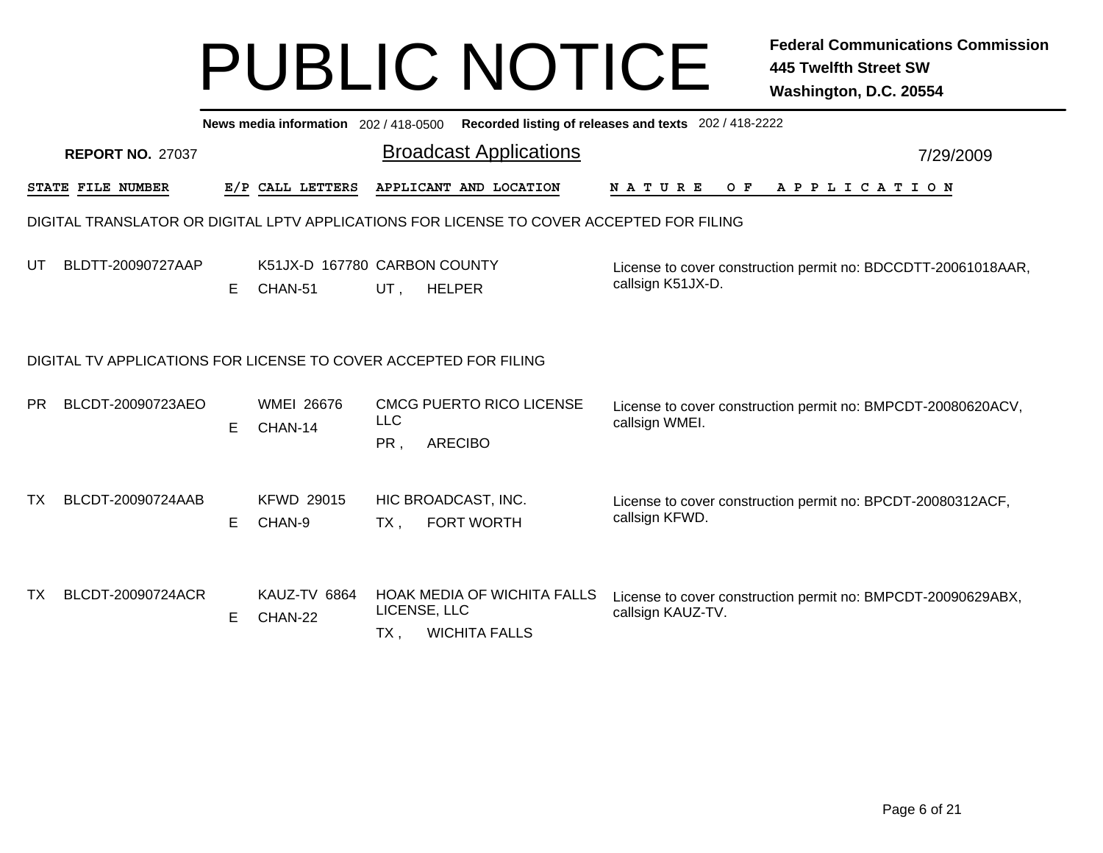|           | News media information 202/418-0500 Recorded listing of releases and texts 202/418-2222 |    |                                         |                               |                                                                                          |                                                                                    |  |  |  |  |  |  |
|-----------|-----------------------------------------------------------------------------------------|----|-----------------------------------------|-------------------------------|------------------------------------------------------------------------------------------|------------------------------------------------------------------------------------|--|--|--|--|--|--|
|           | <b>REPORT NO. 27037</b>                                                                 |    |                                         | <b>Broadcast Applications</b> | 7/29/2009                                                                                |                                                                                    |  |  |  |  |  |  |
|           | STATE FILE NUMBER                                                                       |    | E/P CALL LETTERS                        |                               | APPLICANT AND LOCATION                                                                   | <b>NATURE</b><br>O F<br>A P P L I C A T I O N                                      |  |  |  |  |  |  |
|           |                                                                                         |    |                                         |                               | DIGITAL TRANSLATOR OR DIGITAL LPTV APPLICATIONS FOR LICENSE TO COVER ACCEPTED FOR FILING |                                                                                    |  |  |  |  |  |  |
| UT        | BLDTT-20090727AAP                                                                       | E. | K51JX-D 167780 CARBON COUNTY<br>CHAN-51 | UT,                           | <b>HELPER</b>                                                                            | License to cover construction permit no: BDCCDTT-20061018AAR,<br>callsign K51JX-D. |  |  |  |  |  |  |
|           | DIGITAL TV APPLICATIONS FOR LICENSE TO COVER ACCEPTED FOR FILING                        |    |                                         |                               |                                                                                          |                                                                                    |  |  |  |  |  |  |
| <b>PR</b> | BLCDT-20090723AEO                                                                       | E. | <b>WMEI 26676</b><br>CHAN-14            | <b>LLC</b><br>PR,             | <b>CMCG PUERTO RICO LICENSE</b><br><b>ARECIBO</b>                                        | License to cover construction permit no: BMPCDT-20080620ACV,<br>callsign WMEI.     |  |  |  |  |  |  |
| <b>TX</b> | BLCDT-20090724AAB                                                                       | E. | <b>KFWD 29015</b><br>CHAN-9             | $TX$ ,                        | HIC BROADCAST, INC.<br><b>FORT WORTH</b>                                                 | License to cover construction permit no: BPCDT-20080312ACF,<br>callsign KFWD.      |  |  |  |  |  |  |
| <b>TX</b> | BLCDT-20090724ACR                                                                       | E. | KAUZ-TV 6864<br>CHAN-22                 | LICENSE, LLC<br>TX .          | <b>HOAK MEDIA OF WICHITA FALLS</b><br><b>WICHITA FALLS</b>                               | License to cover construction permit no: BMPCDT-20090629ABX,<br>callsign KAUZ-TV.  |  |  |  |  |  |  |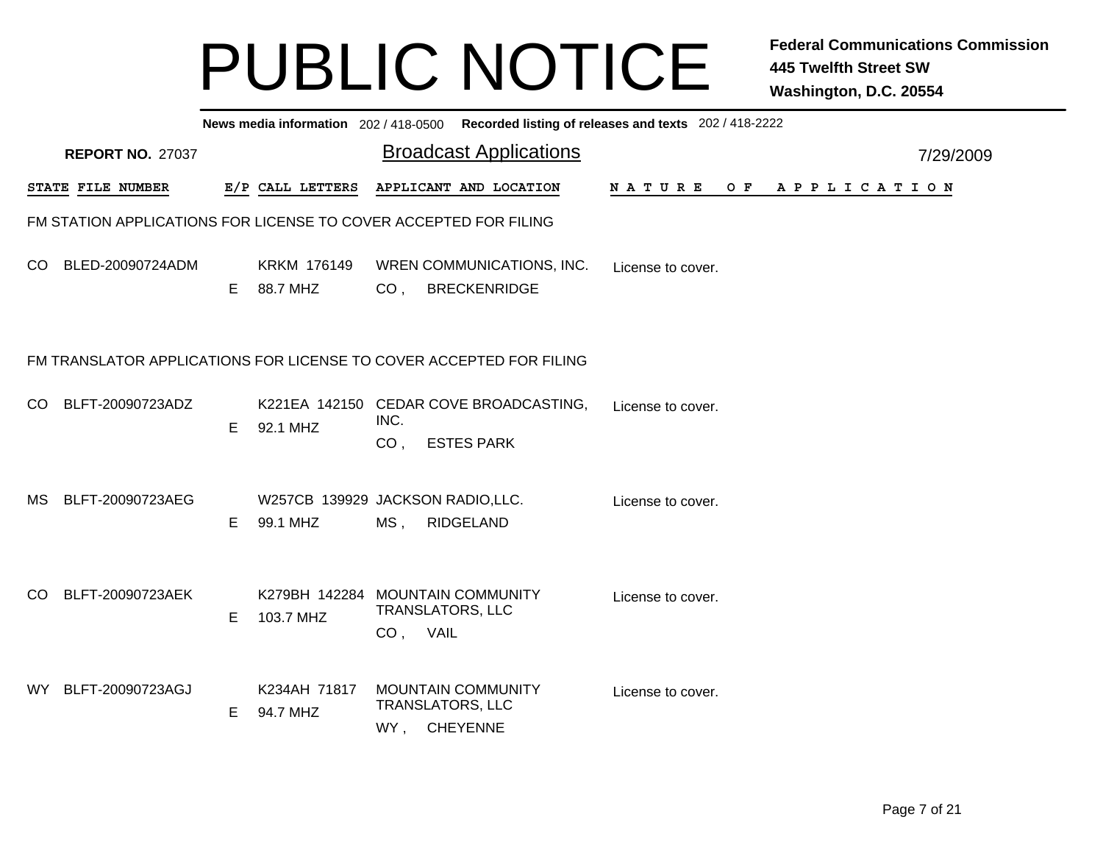|    | News media information 202 / 418-0500 Recorded listing of releases and texts 202 / 418-2222 |   |                                              |                         |                                                                     |                   |  |                       |           |  |  |  |
|----|---------------------------------------------------------------------------------------------|---|----------------------------------------------|-------------------------|---------------------------------------------------------------------|-------------------|--|-----------------------|-----------|--|--|--|
|    | <b>REPORT NO. 27037</b>                                                                     |   |                                              |                         | <b>Broadcast Applications</b>                                       |                   |  |                       | 7/29/2009 |  |  |  |
|    | <b>STATE FILE NUMBER</b>                                                                    |   | E/P CALL LETTERS                             |                         | APPLICANT AND LOCATION                                              |                   |  | NATURE OF APPLICATION |           |  |  |  |
|    | FM STATION APPLICATIONS FOR LICENSE TO COVER ACCEPTED FOR FILING                            |   |                                              |                         |                                                                     |                   |  |                       |           |  |  |  |
|    | CO BLED-20090724ADM                                                                         | Е | <b>KRKM 176149</b><br>88.7 MHZ               | CO <sub>1</sub>         | WREN COMMUNICATIONS, INC.<br><b>BRECKENRIDGE</b>                    | License to cover. |  |                       |           |  |  |  |
|    |                                                                                             |   |                                              |                         | FM TRANSLATOR APPLICATIONS FOR LICENSE TO COVER ACCEPTED FOR FILING |                   |  |                       |           |  |  |  |
| CO | BLFT-20090723ADZ                                                                            | E | 92.1 MHZ                                     | INC.<br>CO <sub>1</sub> | K221EA 142150 CEDAR COVE BROADCASTING,<br><b>ESTES PARK</b>         | License to cover. |  |                       |           |  |  |  |
|    | MS BLFT-20090723AEG                                                                         | Е | W257CB 139929 JACKSON RADIO,LLC.<br>99.1 MHZ | $MS$ ,                  | <b>RIDGELAND</b>                                                    | License to cover. |  |                       |           |  |  |  |
| CO | BLFT-20090723AEK                                                                            | E | 103.7 MHZ                                    | CO, VAIL                | K279BH 142284 MOUNTAIN COMMUNITY<br><b>TRANSLATORS, LLC</b>         | License to cover. |  |                       |           |  |  |  |
|    | WY BLFT-20090723AGJ                                                                         | E | K234AH 71817<br>94.7 MHZ                     |                         | <b>MOUNTAIN COMMUNITY</b><br>TRANSLATORS, LLC<br>WY, CHEYENNE       | License to cover. |  |                       |           |  |  |  |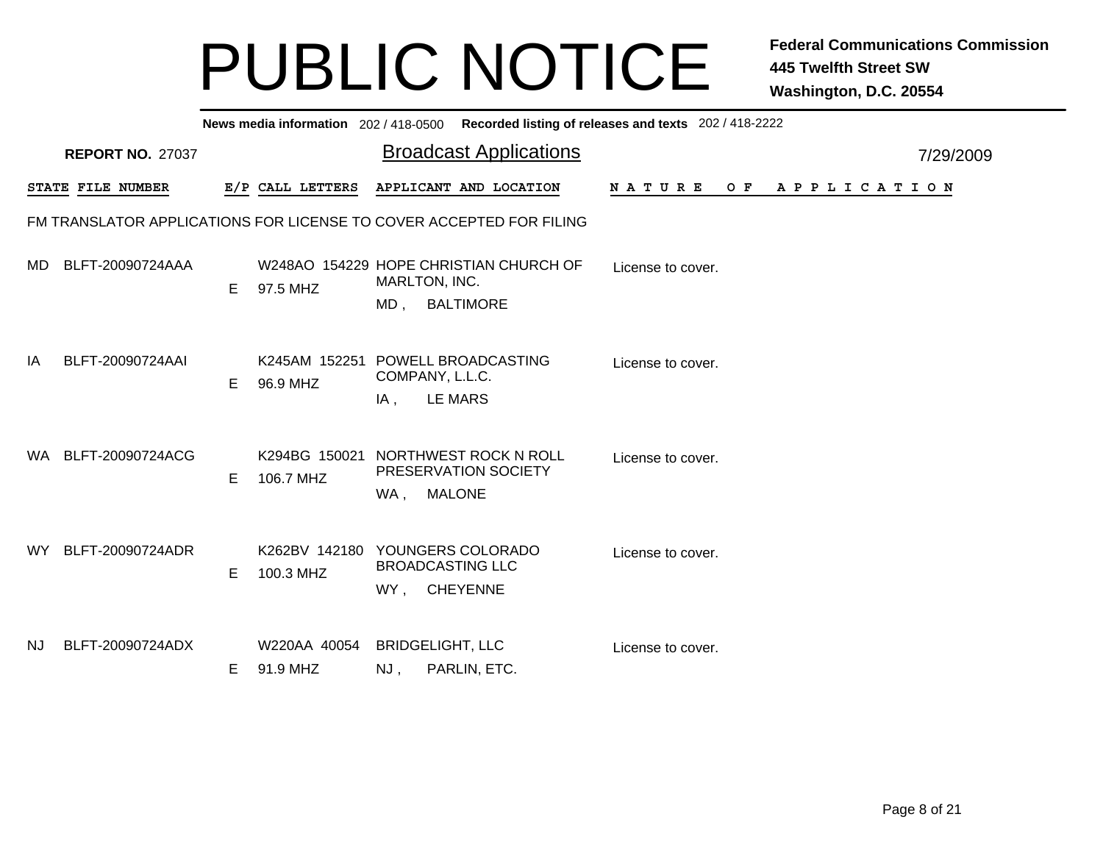|     | News media information 202/418-0500 Recorded listing of releases and texts 202/418-2222 |    |                          |                                                                                       |                                               |  |  |  |  |  |  |  |  |
|-----|-----------------------------------------------------------------------------------------|----|--------------------------|---------------------------------------------------------------------------------------|-----------------------------------------------|--|--|--|--|--|--|--|--|
|     | <b>REPORT NO. 27037</b>                                                                 |    |                          | <b>Broadcast Applications</b>                                                         | 7/29/2009                                     |  |  |  |  |  |  |  |  |
|     | STATE FILE NUMBER                                                                       |    | E/P CALL LETTERS         | APPLICANT AND LOCATION                                                                | <b>NATURE</b><br>A P P L I C A T I O N<br>O F |  |  |  |  |  |  |  |  |
|     |                                                                                         |    |                          | FM TRANSLATOR APPLICATIONS FOR LICENSE TO COVER ACCEPTED FOR FILING                   |                                               |  |  |  |  |  |  |  |  |
| MD. | BLFT-20090724AAA                                                                        | E  | 97.5 MHZ                 | W248AO 154229 HOPE CHRISTIAN CHURCH OF<br>MARLTON, INC.<br>$MD$ ,<br><b>BALTIMORE</b> | License to cover.                             |  |  |  |  |  |  |  |  |
| IA  | BLFT-20090724AAI                                                                        | E  | 96.9 MHZ                 | K245AM 152251 POWELL BROADCASTING<br>COMPANY, L.L.C.<br><b>LE MARS</b><br>IA,         | License to cover.                             |  |  |  |  |  |  |  |  |
| WA. | BLFT-20090724ACG                                                                        | E  | 106.7 MHZ                | K294BG 150021 NORTHWEST ROCK N ROLL<br>PRESERVATION SOCIETY<br>WA, MALONE             | License to cover.                             |  |  |  |  |  |  |  |  |
| WY. | BLFT-20090724ADR                                                                        | E  | 100.3 MHZ                | K262BV 142180 YOUNGERS COLORADO<br><b>BROADCASTING LLC</b><br>WY, CHEYENNE            | License to cover.                             |  |  |  |  |  |  |  |  |
| NJ. | BLFT-20090724ADX                                                                        | E. | W220AA 40054<br>91.9 MHZ | <b>BRIDGELIGHT, LLC</b><br>PARLIN, ETC.<br>NJ,                                        | License to cover.                             |  |  |  |  |  |  |  |  |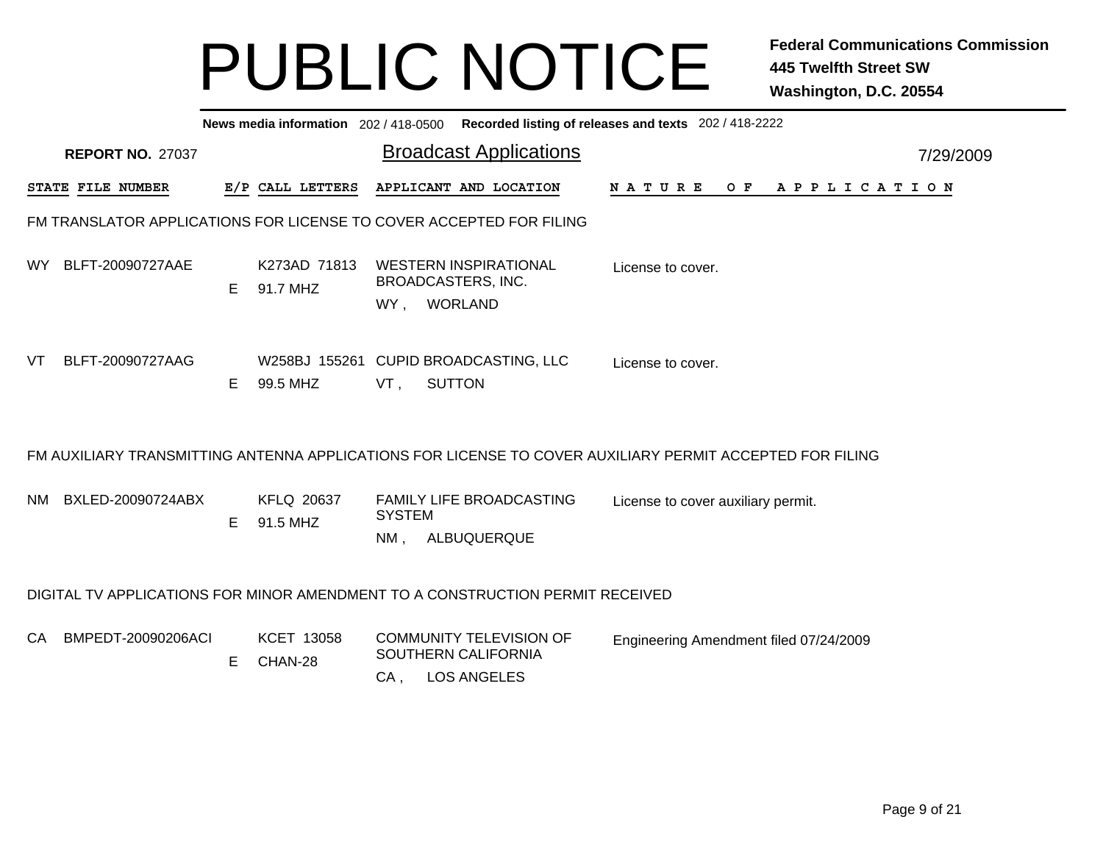|                                                                     | News media information 202/418-0500 Recorded listing of releases and texts 202/418-2222 |    |                          |                         |                                                                               |                                                                                                          |           |  |  |  |  |  |  |
|---------------------------------------------------------------------|-----------------------------------------------------------------------------------------|----|--------------------------|-------------------------|-------------------------------------------------------------------------------|----------------------------------------------------------------------------------------------------------|-----------|--|--|--|--|--|--|
|                                                                     | <b>REPORT NO. 27037</b>                                                                 |    |                          |                         | <b>Broadcast Applications</b>                                                 |                                                                                                          | 7/29/2009 |  |  |  |  |  |  |
|                                                                     | STATE FILE NUMBER                                                                       |    | E/P CALL LETTERS         |                         | APPLICANT AND LOCATION                                                        | N A T U R E<br>O F<br>A P P L I C A T I O N                                                              |           |  |  |  |  |  |  |
| FM TRANSLATOR APPLICATIONS FOR LICENSE TO COVER ACCEPTED FOR FILING |                                                                                         |    |                          |                         |                                                                               |                                                                                                          |           |  |  |  |  |  |  |
| WY.                                                                 | BLFT-20090727AAE                                                                        | E  | K273AD 71813<br>91.7 MHZ | WY,                     | <b>WESTERN INSPIRATIONAL</b><br>BROADCASTERS, INC.<br><b>WORLAND</b>          | License to cover.                                                                                        |           |  |  |  |  |  |  |
| VT                                                                  | BLFT-20090727AAG                                                                        | E. | 99.5 MHZ                 | VT,                     | W258BJ 155261 CUPID BROADCASTING, LLC<br><b>SUTTON</b>                        | License to cover.                                                                                        |           |  |  |  |  |  |  |
|                                                                     |                                                                                         |    |                          |                         |                                                                               | FM AUXILIARY TRANSMITTING ANTENNA APPLICATIONS FOR LICENSE TO COVER AUXILIARY PERMIT ACCEPTED FOR FILING |           |  |  |  |  |  |  |
| NM.                                                                 | BXLED-20090724ABX                                                                       | E. | KFLQ 20637<br>91.5 MHZ   | <b>SYSTEM</b><br>$NM$ . | FAMILY LIFE BROADCASTING<br>ALBUQUERQUE                                       | License to cover auxiliary permit.                                                                       |           |  |  |  |  |  |  |
|                                                                     |                                                                                         |    |                          |                         | DIGITAL TV APPLICATIONS FOR MINOR AMENDMENT TO A CONSTRUCTION PERMIT RECEIVED |                                                                                                          |           |  |  |  |  |  |  |
| CA                                                                  | BMPEDT-20090206ACI                                                                      | E. | KCET 13058<br>CHAN-28    | CA,                     | <b>COMMUNITY TELEVISION OF</b><br>SOUTHERN CALIFORNIA<br><b>LOS ANGELES</b>   | Engineering Amendment filed 07/24/2009                                                                   |           |  |  |  |  |  |  |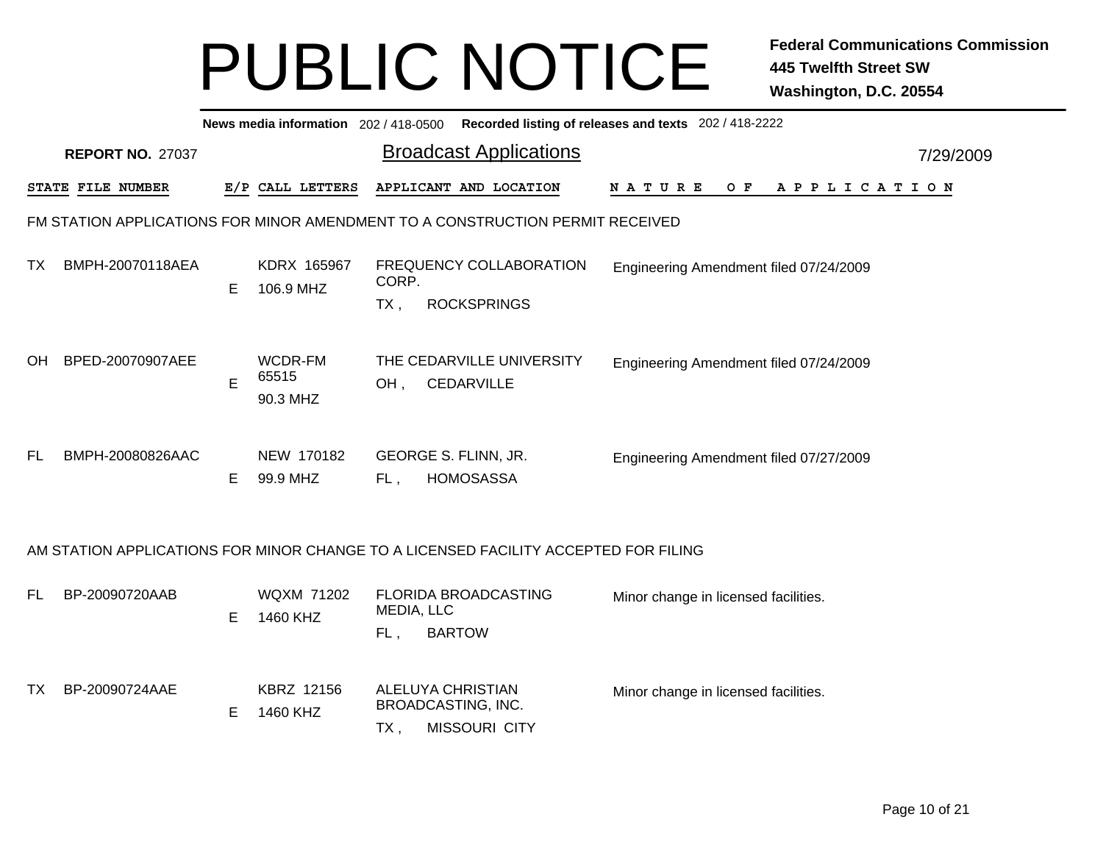|           | Recorded listing of releases and texts 202 / 418-2222<br>News media information 202 / 418-0500 |    |                               |                   |                                                                                     |        |                                        |  |  |  |     |  |  |  |             |  |           |  |
|-----------|------------------------------------------------------------------------------------------------|----|-------------------------------|-------------------|-------------------------------------------------------------------------------------|--------|----------------------------------------|--|--|--|-----|--|--|--|-------------|--|-----------|--|
|           | <b>REPORT NO. 27037</b>                                                                        |    |                               |                   | <b>Broadcast Applications</b>                                                       |        |                                        |  |  |  |     |  |  |  |             |  | 7/29/2009 |  |
|           | STATE FILE NUMBER                                                                              |    | E/P CALL LETTERS              |                   | APPLICANT AND LOCATION                                                              | NATURE |                                        |  |  |  | O F |  |  |  | APPLICATION |  |           |  |
|           |                                                                                                |    |                               |                   | FM STATION APPLICATIONS FOR MINOR AMENDMENT TO A CONSTRUCTION PERMIT RECEIVED       |        |                                        |  |  |  |     |  |  |  |             |  |           |  |
| TX.       | BMPH-20070118AEA                                                                               | E. | KDRX 165967<br>106.9 MHZ      | CORP.<br>TX,      | FREQUENCY COLLABORATION<br><b>ROCKSPRINGS</b>                                       |        | Engineering Amendment filed 07/24/2009 |  |  |  |     |  |  |  |             |  |           |  |
| OH        | BPED-20070907AEE                                                                               | E  | WCDR-FM<br>65515<br>90.3 MHZ  | OH,               | THE CEDARVILLE UNIVERSITY<br><b>CEDARVILLE</b>                                      |        | Engineering Amendment filed 07/24/2009 |  |  |  |     |  |  |  |             |  |           |  |
| <b>FL</b> | BMPH-20080826AAC                                                                               | E. | NEW 170182<br>99.9 MHZ        | FL,               | GEORGE S. FLINN, JR.<br><b>HOMOSASSA</b>                                            |        | Engineering Amendment filed 07/27/2009 |  |  |  |     |  |  |  |             |  |           |  |
|           |                                                                                                |    |                               |                   | AM STATION APPLICATIONS FOR MINOR CHANGE TO A LICENSED FACILITY ACCEPTED FOR FILING |        |                                        |  |  |  |     |  |  |  |             |  |           |  |
| FL.       | BP-20090720AAB                                                                                 | Е  | <b>WQXM 71202</b><br>1460 KHZ | MEDIA, LLC<br>FL, | FLORIDA BROADCASTING<br><b>BARTOW</b>                                               |        | Minor change in licensed facilities.   |  |  |  |     |  |  |  |             |  |           |  |
| TX.       | BP-20090724AAE                                                                                 | Е  | KBRZ 12156<br>1460 KHZ        | $TX$ ,            | <b>ALELUYA CHRISTIAN</b><br>BROADCASTING, INC.<br><b>MISSOURI CITY</b>              |        | Minor change in licensed facilities.   |  |  |  |     |  |  |  |             |  |           |  |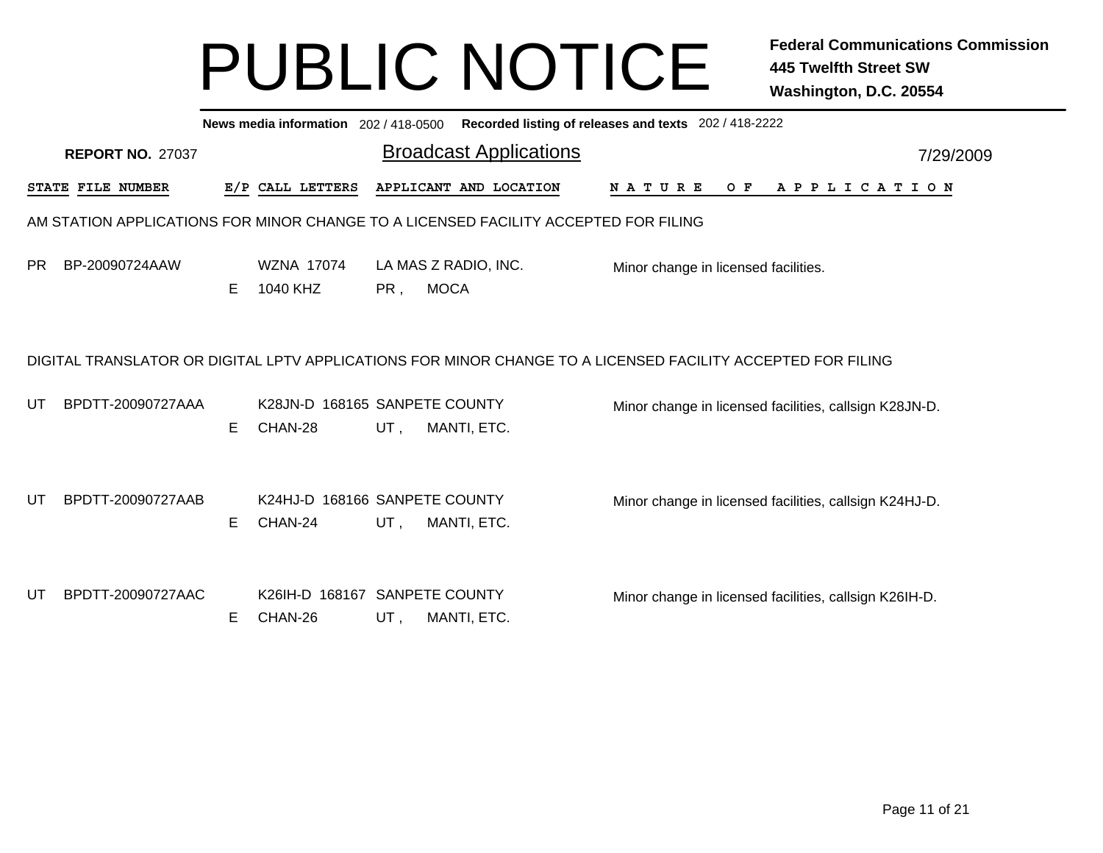|     | News media information 202/418-0500 Recorded listing of releases and texts 202/418-2222 |   |                                          |     |                                                                                                             |                                                        |  |  |  |     |  |  |  |  |                       |  |  |
|-----|-----------------------------------------------------------------------------------------|---|------------------------------------------|-----|-------------------------------------------------------------------------------------------------------------|--------------------------------------------------------|--|--|--|-----|--|--|--|--|-----------------------|--|--|
|     | <b>REPORT NO. 27037</b>                                                                 |   |                                          |     | <b>Broadcast Applications</b>                                                                               | 7/29/2009                                              |  |  |  |     |  |  |  |  |                       |  |  |
|     | STATE FILE NUMBER                                                                       |   | E/P CALL LETTERS                         |     | APPLICANT AND LOCATION                                                                                      | N A T U R E                                            |  |  |  | O F |  |  |  |  | A P P L I C A T I O N |  |  |
|     |                                                                                         |   |                                          |     | AM STATION APPLICATIONS FOR MINOR CHANGE TO A LICENSED FACILITY ACCEPTED FOR FILING                         |                                                        |  |  |  |     |  |  |  |  |                       |  |  |
| PR. | BP-20090724AAW                                                                          | Е | WZNA 17074<br>1040 KHZ                   | PR, | LA MAS Z RADIO, INC.<br><b>MOCA</b>                                                                         | Minor change in licensed facilities.                   |  |  |  |     |  |  |  |  |                       |  |  |
|     |                                                                                         |   |                                          |     | DIGITAL TRANSLATOR OR DIGITAL LPTV APPLICATIONS FOR MINOR CHANGE TO A LICENSED FACILITY ACCEPTED FOR FILING |                                                        |  |  |  |     |  |  |  |  |                       |  |  |
| UT  | BPDTT-20090727AAA                                                                       | Е | K28JN-D 168165 SANPETE COUNTY<br>CHAN-28 | UT, | MANTI, ETC.                                                                                                 | Minor change in licensed facilities, callsign K28JN-D. |  |  |  |     |  |  |  |  |                       |  |  |
| UT  | BPDTT-20090727AAB                                                                       | E | K24HJ-D 168166 SANPETE COUNTY<br>CHAN-24 | UT, | MANTI, ETC.                                                                                                 | Minor change in licensed facilities, callsign K24HJ-D. |  |  |  |     |  |  |  |  |                       |  |  |
| UT  | BPDTT-20090727AAC                                                                       | Е | K26IH-D 168167 SANPETE COUNTY<br>CHAN-26 | UT, | MANTI, ETC.                                                                                                 | Minor change in licensed facilities, callsign K26IH-D. |  |  |  |     |  |  |  |  |                       |  |  |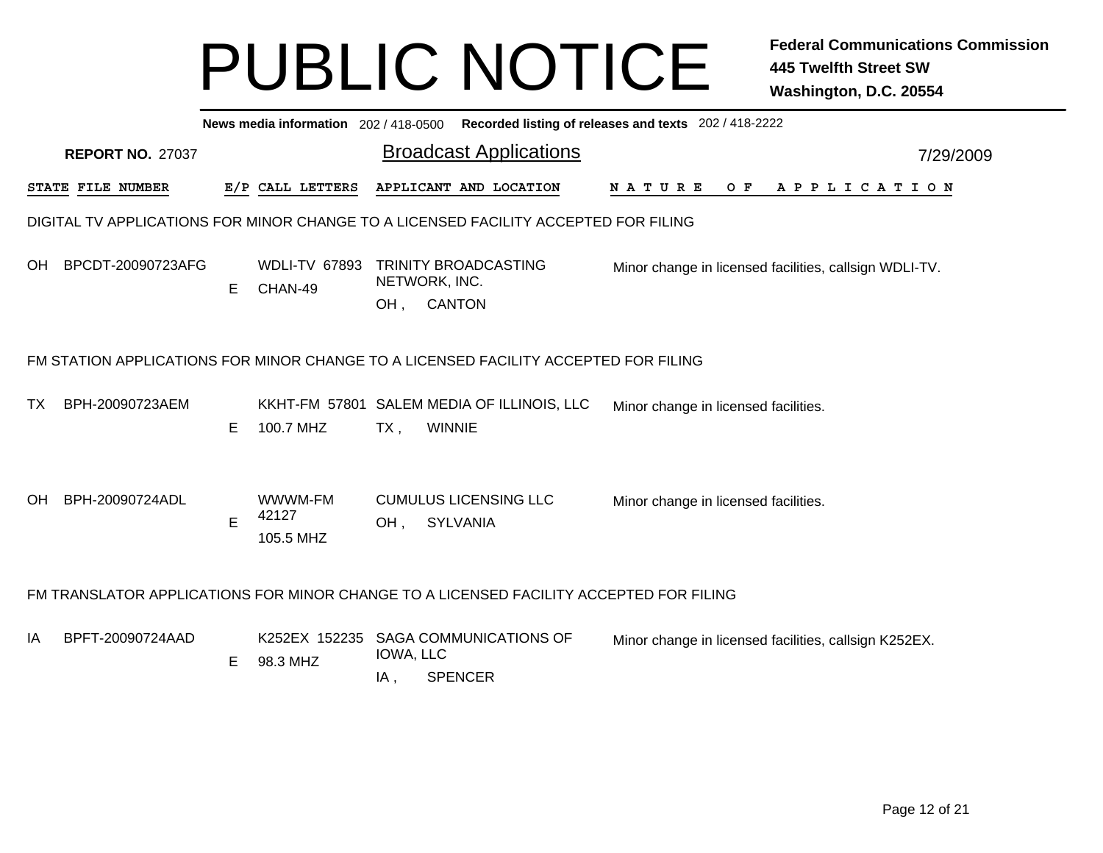|           | News media information 202 / 418-0500 Recorded listing of releases and texts 202 / 418-2222 |   |                                 |                  |                                                                                        |                                                        |  |  |  |  |  |  |  |
|-----------|---------------------------------------------------------------------------------------------|---|---------------------------------|------------------|----------------------------------------------------------------------------------------|--------------------------------------------------------|--|--|--|--|--|--|--|
|           | <b>REPORT NO. 27037</b>                                                                     |   |                                 |                  | <b>Broadcast Applications</b>                                                          | 7/29/2009                                              |  |  |  |  |  |  |  |
|           | STATE FILE NUMBER                                                                           |   | E/P CALL LETTERS                |                  | APPLICANT AND LOCATION                                                                 | O F<br>APPLICATION<br>N A T U R E                      |  |  |  |  |  |  |  |
|           |                                                                                             |   |                                 |                  | DIGITAL TV APPLICATIONS FOR MINOR CHANGE TO A LICENSED FACILITY ACCEPTED FOR FILING    |                                                        |  |  |  |  |  |  |  |
| OH.       | BPCDT-20090723AFG                                                                           | Е | <b>WDLI-TV 67893</b><br>CHAN-49 | OH,              | TRINITY BROADCASTING<br>NETWORK, INC.<br><b>CANTON</b>                                 | Minor change in licensed facilities, callsign WDLI-TV. |  |  |  |  |  |  |  |
|           |                                                                                             |   |                                 |                  | FM STATION APPLICATIONS FOR MINOR CHANGE TO A LICENSED FACILITY ACCEPTED FOR FILING    |                                                        |  |  |  |  |  |  |  |
| TX.       | BPH-20090723AEM                                                                             | E | 100.7 MHZ                       | $TX$ ,           | KKHT-FM 57801 SALEM MEDIA OF ILLINOIS, LLC<br><b>WINNIE</b>                            | Minor change in licensed facilities.                   |  |  |  |  |  |  |  |
| <b>OH</b> | BPH-20090724ADL                                                                             | E | WWWM-FM<br>42127<br>105.5 MHZ   | OH,              | <b>CUMULUS LICENSING LLC</b><br><b>SYLVANIA</b>                                        | Minor change in licensed facilities.                   |  |  |  |  |  |  |  |
|           |                                                                                             |   |                                 |                  | FM TRANSLATOR APPLICATIONS FOR MINOR CHANGE TO A LICENSED FACILITY ACCEPTED FOR FILING |                                                        |  |  |  |  |  |  |  |
| IA        | BPFT-20090724AAD                                                                            | Е | K252EX 152235<br>98.3 MHZ       | IOWA, LLC<br>IA, | <b>SAGA COMMUNICATIONS OF</b><br><b>SPENCER</b>                                        | Minor change in licensed facilities, callsign K252EX.  |  |  |  |  |  |  |  |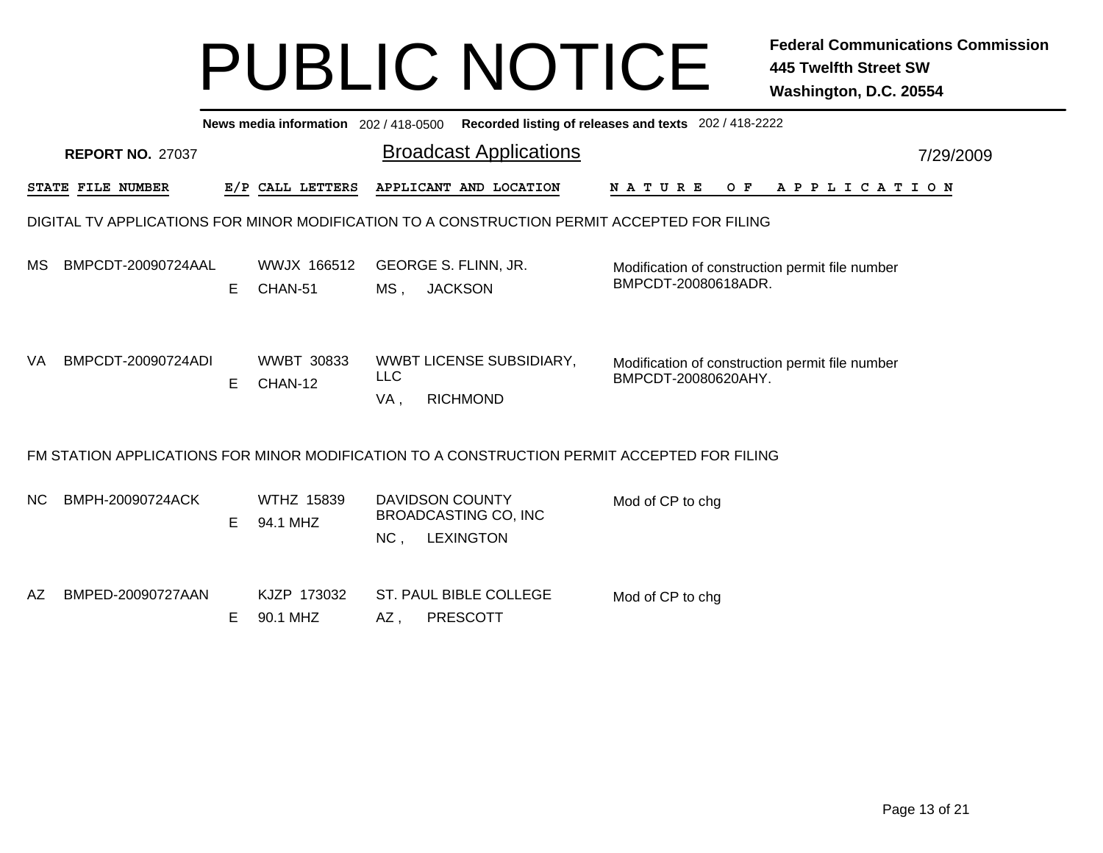|                                                                                             | News media information 202/418-0500 Recorded listing of releases and texts 202/418-2222 |    |                               |                   |                                                                                             |                                                                        |  |  |  |     |  |  |  |  |  |                       |  |  |           |
|---------------------------------------------------------------------------------------------|-----------------------------------------------------------------------------------------|----|-------------------------------|-------------------|---------------------------------------------------------------------------------------------|------------------------------------------------------------------------|--|--|--|-----|--|--|--|--|--|-----------------------|--|--|-----------|
|                                                                                             | <b>REPORT NO. 27037</b>                                                                 |    |                               |                   | <b>Broadcast Applications</b>                                                               |                                                                        |  |  |  |     |  |  |  |  |  |                       |  |  | 7/29/2009 |
|                                                                                             | STATE FILE NUMBER                                                                       |    | E/P CALL LETTERS              |                   | APPLICANT AND LOCATION                                                                      | <b>NATURE</b>                                                          |  |  |  | O F |  |  |  |  |  | A P P L I C A T I O N |  |  |           |
| DIGITAL TV APPLICATIONS FOR MINOR MODIFICATION TO A CONSTRUCTION PERMIT ACCEPTED FOR FILING |                                                                                         |    |                               |                   |                                                                                             |                                                                        |  |  |  |     |  |  |  |  |  |                       |  |  |           |
| MS.                                                                                         | BMPCDT-20090724AAL                                                                      | E. | WWJX 166512<br>CHAN-51        | MS <sub>1</sub>   | <b>GEORGE S. FLINN, JR.</b><br><b>JACKSON</b>                                               | Modification of construction permit file number<br>BMPCDT-20080618ADR. |  |  |  |     |  |  |  |  |  |                       |  |  |           |
| VA.                                                                                         | BMPCDT-20090724ADI                                                                      | E. | <b>WWBT 30833</b><br>CHAN-12  | <b>LLC</b><br>VA, | WWBT LICENSE SUBSIDIARY,<br><b>RICHMOND</b>                                                 | Modification of construction permit file number<br>BMPCDT-20080620AHY. |  |  |  |     |  |  |  |  |  |                       |  |  |           |
|                                                                                             |                                                                                         |    |                               |                   | FM STATION APPLICATIONS FOR MINOR MODIFICATION TO A CONSTRUCTION PERMIT ACCEPTED FOR FILING |                                                                        |  |  |  |     |  |  |  |  |  |                       |  |  |           |
| NC.                                                                                         | BMPH-20090724ACK                                                                        | E. | <b>WTHZ 15839</b><br>94.1 MHZ | NC,               | <b>DAVIDSON COUNTY</b><br><b>BROADCASTING CO, INC</b><br><b>LEXINGTON</b>                   | Mod of CP to chg                                                       |  |  |  |     |  |  |  |  |  |                       |  |  |           |
| AZ.                                                                                         | BMPED-20090727AAN                                                                       | E. | KJZP 173032<br>90.1 MHZ       | AZ,               | <b>ST. PAUL BIBLE COLLEGE</b><br><b>PRESCOTT</b>                                            | Mod of CP to chg                                                       |  |  |  |     |  |  |  |  |  |                       |  |  |           |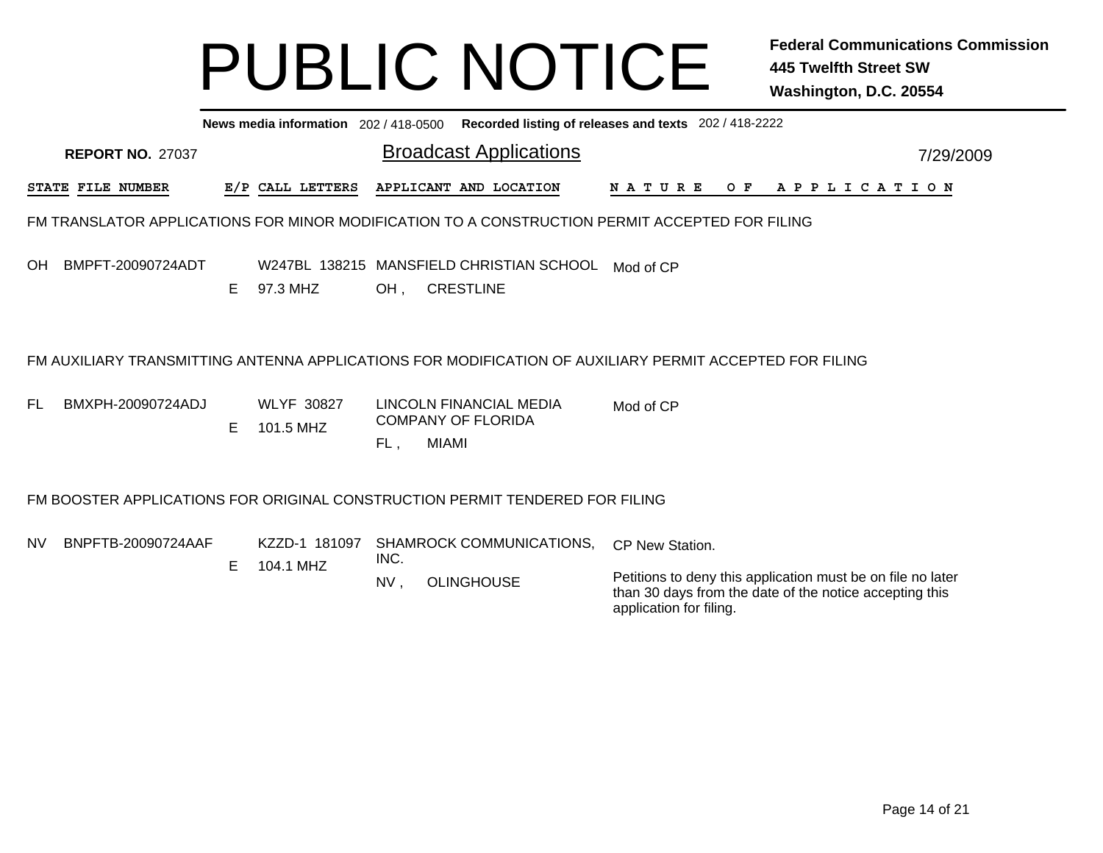|           | Recorded listing of releases and texts 202 / 418-2222<br>News media information 202/418-0500 |   |                                |             |                                                                              |                                                                                                                                                                      |           |  |  |  |  |  |  |  |
|-----------|----------------------------------------------------------------------------------------------|---|--------------------------------|-------------|------------------------------------------------------------------------------|----------------------------------------------------------------------------------------------------------------------------------------------------------------------|-----------|--|--|--|--|--|--|--|
|           | <b>REPORT NO. 27037</b>                                                                      |   |                                |             | <b>Broadcast Applications</b>                                                |                                                                                                                                                                      | 7/29/2009 |  |  |  |  |  |  |  |
|           | STATE FILE NUMBER                                                                            |   | E/P CALL LETTERS               |             | APPLICANT AND LOCATION                                                       | <b>NATURE</b><br>O F<br>A P P L I C A T I O N                                                                                                                        |           |  |  |  |  |  |  |  |
|           |                                                                                              |   |                                |             |                                                                              | FM TRANSLATOR APPLICATIONS FOR MINOR MODIFICATION TO A CONSTRUCTION PERMIT ACCEPTED FOR FILING                                                                       |           |  |  |  |  |  |  |  |
| OH        | BMPFT-20090724ADT                                                                            | Е | 97.3 MHZ                       | OH,         | W247BL 138215 MANSFIELD CHRISTIAN SCHOOL<br><b>CRESTLINE</b>                 | Mod of CP                                                                                                                                                            |           |  |  |  |  |  |  |  |
|           |                                                                                              |   |                                |             |                                                                              | FM AUXILIARY TRANSMITTING ANTENNA APPLICATIONS FOR MODIFICATION OF AUXILIARY PERMIT ACCEPTED FOR FILING                                                              |           |  |  |  |  |  |  |  |
| FL        | BMXPH-20090724ADJ                                                                            | Е | <b>WLYF 30827</b><br>101.5 MHZ | FL,         | LINCOLN FINANCIAL MEDIA<br><b>COMPANY OF FLORIDA</b><br><b>MIAMI</b>         | Mod of CP                                                                                                                                                            |           |  |  |  |  |  |  |  |
|           |                                                                                              |   |                                |             | FM BOOSTER APPLICATIONS FOR ORIGINAL CONSTRUCTION PERMIT TENDERED FOR FILING |                                                                                                                                                                      |           |  |  |  |  |  |  |  |
| <b>NV</b> | BNPFTB-20090724AAF                                                                           | Е | KZZD-1 181097<br>104.1 MHZ     | INC.<br>NV, | SHAMROCK COMMUNICATIONS,<br><b>OLINGHOUSE</b>                                | CP New Station.<br>Petitions to deny this application must be on file no later<br>than 30 days from the date of the notice accepting this<br>application for filing. |           |  |  |  |  |  |  |  |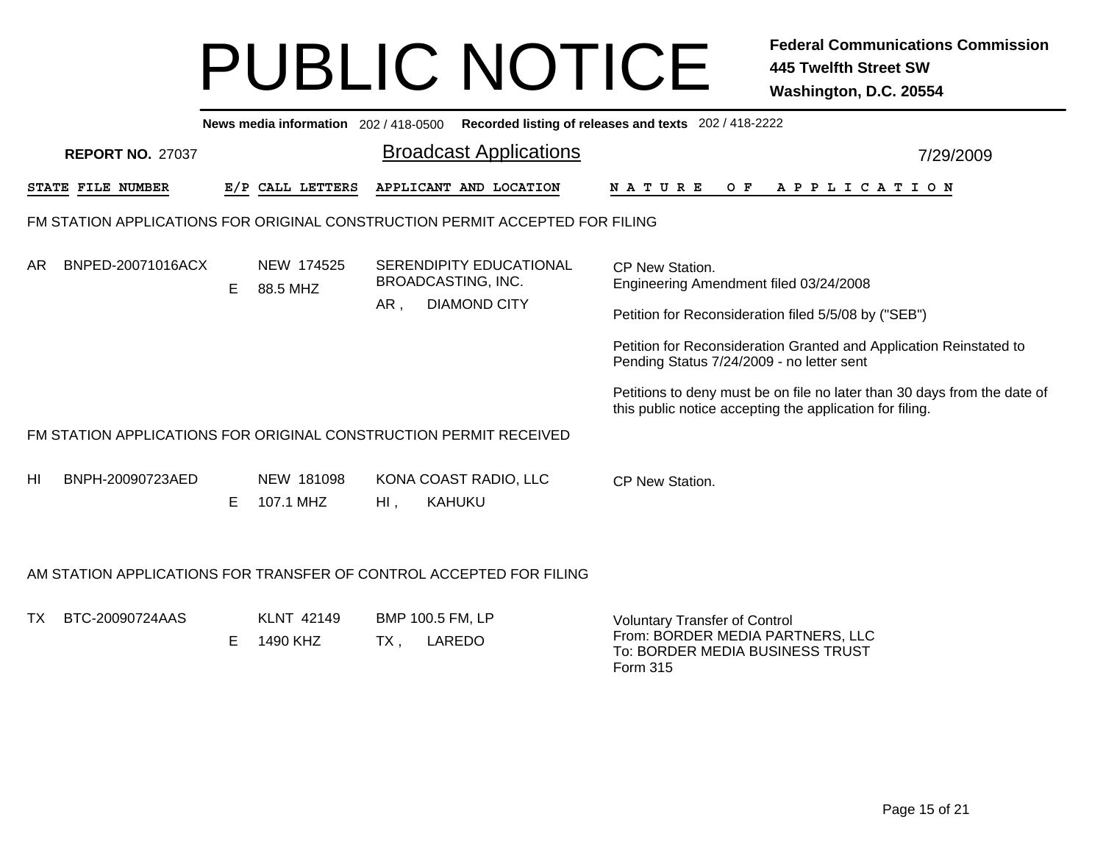|    | News media information 202 / 418-0500 Recorded listing of releases and texts 202 / 418-2222 |    |                         |        |                                                                                    |                                                                                                                                      |           |  |  |  |  |  |  |
|----|---------------------------------------------------------------------------------------------|----|-------------------------|--------|------------------------------------------------------------------------------------|--------------------------------------------------------------------------------------------------------------------------------------|-----------|--|--|--|--|--|--|
|    | <b>REPORT NO. 27037</b>                                                                     |    |                         |        | <b>Broadcast Applications</b>                                                      |                                                                                                                                      | 7/29/2009 |  |  |  |  |  |  |
|    | <b>STATE FILE NUMBER</b>                                                                    |    | E/P CALL LETTERS        |        | APPLICANT AND LOCATION                                                             | N A T U R E<br>OF APPLICATION                                                                                                        |           |  |  |  |  |  |  |
|    |                                                                                             |    |                         |        | FM STATION APPLICATIONS FOR ORIGINAL CONSTRUCTION PERMIT ACCEPTED FOR FILING       |                                                                                                                                      |           |  |  |  |  |  |  |
| AR | BNPED-20071016ACX                                                                           | E. | NEW 174525<br>88.5 MHZ  | AR,    | <b>SERENDIPITY EDUCATIONAL</b><br><b>BROADCASTING, INC.</b><br><b>DIAMOND CITY</b> | CP New Station.<br>Engineering Amendment filed 03/24/2008                                                                            |           |  |  |  |  |  |  |
|    |                                                                                             |    |                         |        |                                                                                    | Petition for Reconsideration filed 5/5/08 by ("SEB")                                                                                 |           |  |  |  |  |  |  |
|    |                                                                                             |    |                         |        |                                                                                    | Petition for Reconsideration Granted and Application Reinstated to<br>Pending Status 7/24/2009 - no letter sent                      |           |  |  |  |  |  |  |
|    |                                                                                             |    |                         |        |                                                                                    | Petitions to deny must be on file no later than 30 days from the date of<br>this public notice accepting the application for filing. |           |  |  |  |  |  |  |
|    | FM STATION APPLICATIONS FOR ORIGINAL CONSTRUCTION PERMIT RECEIVED                           |    |                         |        |                                                                                    |                                                                                                                                      |           |  |  |  |  |  |  |
| ΗI | BNPH-20090723AED                                                                            | Е  | NEW 181098<br>107.1 MHZ | $Hl$ , | KONA COAST RADIO, LLC<br><b>KAHUKU</b>                                             | CP New Station.                                                                                                                      |           |  |  |  |  |  |  |
|    |                                                                                             |    |                         |        |                                                                                    |                                                                                                                                      |           |  |  |  |  |  |  |
|    |                                                                                             |    |                         |        | AM STATION APPLICATIONS FOR TRANSFER OF CONTROL ACCEPTED FOR FILING                |                                                                                                                                      |           |  |  |  |  |  |  |
| TX | BTC-20090724AAS                                                                             | E  | KLNT 42149<br>1490 KHZ  | TX,    | BMP 100.5 FM, LP<br>LAREDO                                                         | <b>Voluntary Transfer of Control</b><br>From: BORDER MEDIA PARTNERS, LLC<br>To: BORDER MEDIA BUSINESS TRUST<br>Form 315              |           |  |  |  |  |  |  |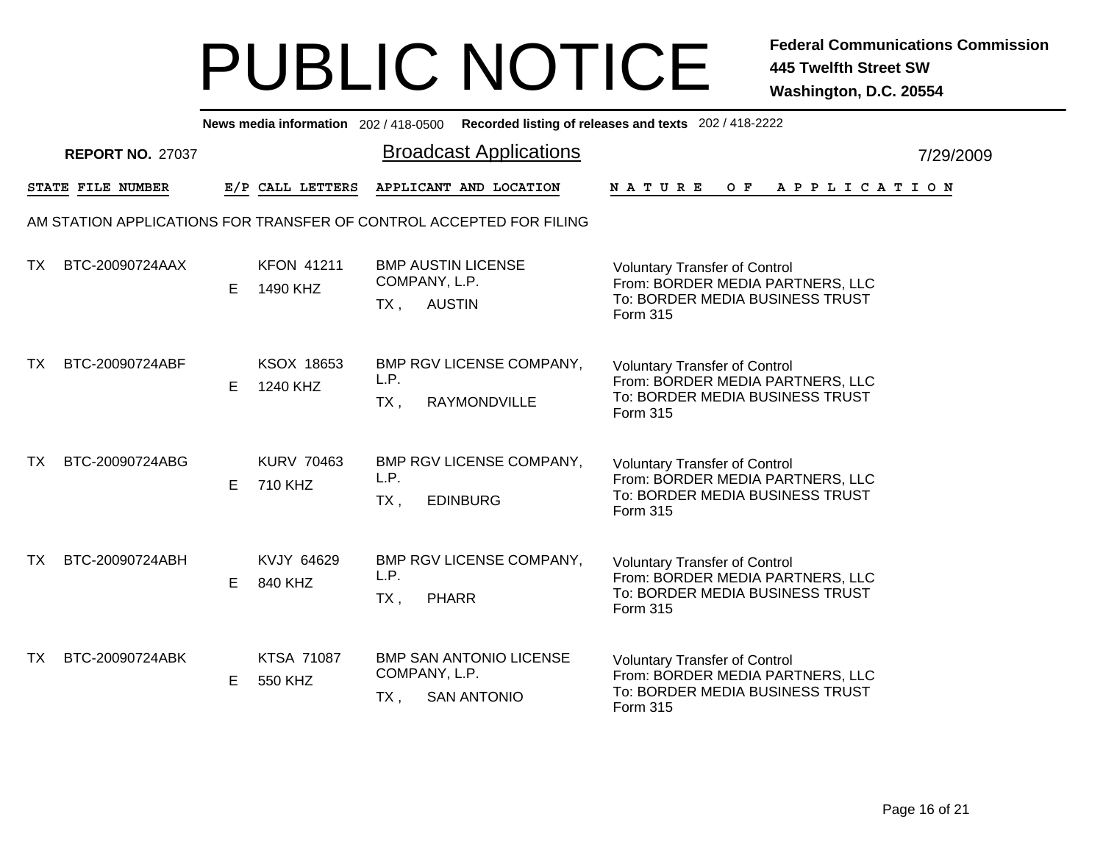|     | News media information 202/418-0500 Recorded listing of releases and texts 202/418-2222 |    |                               |                                         |                                |                                                      |                                                                                                                         |  |  |  |     |  |                       |  |  |           |  |
|-----|-----------------------------------------------------------------------------------------|----|-------------------------------|-----------------------------------------|--------------------------------|------------------------------------------------------|-------------------------------------------------------------------------------------------------------------------------|--|--|--|-----|--|-----------------------|--|--|-----------|--|
|     | <b>REPORT NO. 27037</b>                                                                 |    |                               |                                         | <b>Broadcast Applications</b>  |                                                      |                                                                                                                         |  |  |  |     |  |                       |  |  | 7/29/2009 |  |
|     | STATE FILE NUMBER                                                                       |    | E/P CALL LETTERS              | APPLICANT AND LOCATION<br><b>NATURE</b> |                                |                                                      |                                                                                                                         |  |  |  | O F |  | A P P L I C A T I O N |  |  |           |  |
|     | AM STATION APPLICATIONS FOR TRANSFER OF CONTROL ACCEPTED FOR FILING                     |    |                               |                                         |                                |                                                      |                                                                                                                         |  |  |  |     |  |                       |  |  |           |  |
| TX. | BTC-20090724AAX                                                                         | E. | <b>KFON 41211</b><br>1490 KHZ | $TX$ ,                                  | COMPANY, L.P.<br><b>AUSTIN</b> | <b>BMP AUSTIN LICENSE</b>                            | <b>Voluntary Transfer of Control</b><br>From: BORDER MEDIA PARTNERS, LLC<br>To: BORDER MEDIA BUSINESS TRUST<br>Form 315 |  |  |  |     |  |                       |  |  |           |  |
| TX. | BTC-20090724ABF                                                                         | E. | KSOX 18653<br>1240 KHZ        | L.P.<br>$TX$ ,                          |                                | BMP RGV LICENSE COMPANY,<br>RAYMONDVILLE             | <b>Voluntary Transfer of Control</b><br>From: BORDER MEDIA PARTNERS, LLC<br>To: BORDER MEDIA BUSINESS TRUST<br>Form 315 |  |  |  |     |  |                       |  |  |           |  |
| TX. | BTC-20090724ABG                                                                         | E. | <b>KURV 70463</b><br>710 KHZ  | L.P.<br>$TX$ ,                          |                                | BMP RGV LICENSE COMPANY,<br><b>EDINBURG</b>          | <b>Voluntary Transfer of Control</b><br>From: BORDER MEDIA PARTNERS, LLC<br>To: BORDER MEDIA BUSINESS TRUST<br>Form 315 |  |  |  |     |  |                       |  |  |           |  |
| TX. | BTC-20090724ABH                                                                         | E. | KVJY 64629<br>840 KHZ         | L.P.<br>$TX$ ,                          | <b>PHARR</b>                   | BMP RGV LICENSE COMPANY,                             | <b>Voluntary Transfer of Control</b><br>From: BORDER MEDIA PARTNERS, LLC<br>To: BORDER MEDIA BUSINESS TRUST<br>Form 315 |  |  |  |     |  |                       |  |  |           |  |
| TX. | BTC-20090724ABK                                                                         | Е  | <b>KTSA 71087</b><br>550 KHZ  | COMPANY, L.P.<br>TX,                    |                                | <b>BMP SAN ANTONIO LICENSE</b><br><b>SAN ANTONIO</b> | <b>Voluntary Transfer of Control</b><br>From: BORDER MEDIA PARTNERS, LLC<br>To: BORDER MEDIA BUSINESS TRUST<br>Form 315 |  |  |  |     |  |                       |  |  |           |  |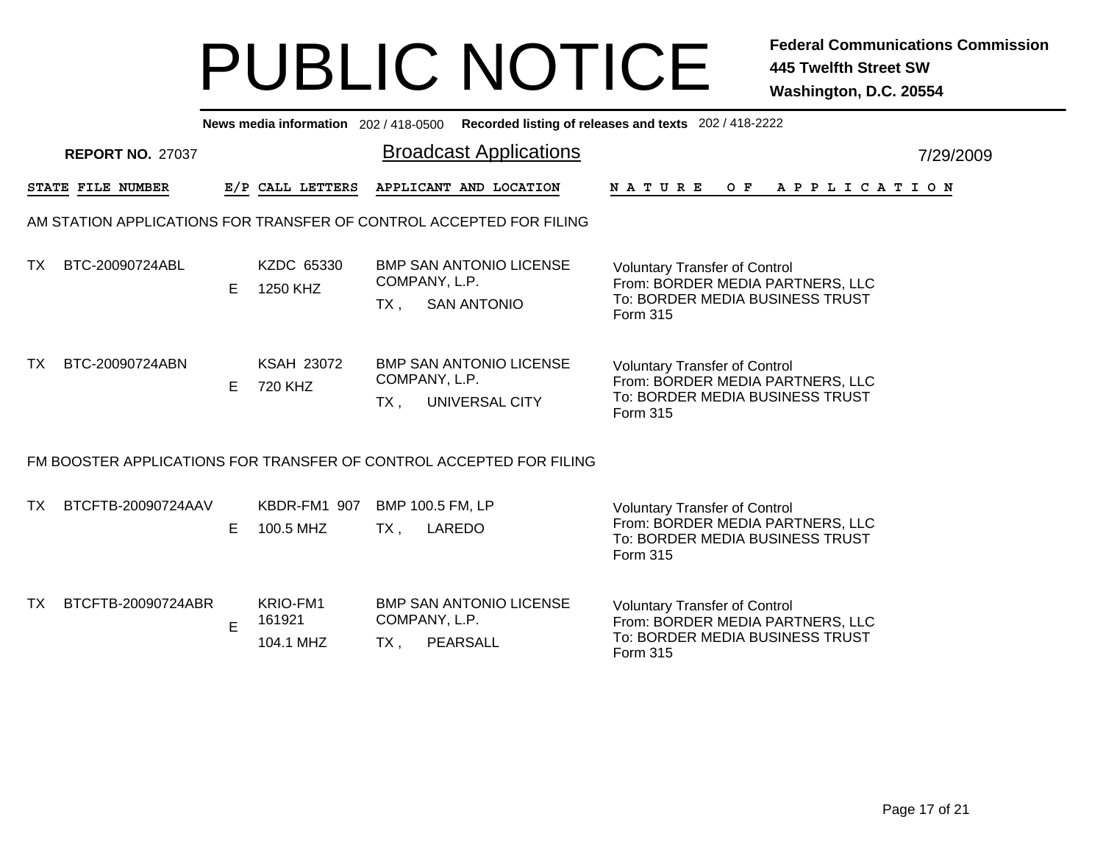|     | News media information 202 / 418-0500 Recorded listing of releases and texts 202 / 418-2222 |    |                                 |        |                                                                       |                                                                                                                         |           |  |  |  |  |  |  |
|-----|---------------------------------------------------------------------------------------------|----|---------------------------------|--------|-----------------------------------------------------------------------|-------------------------------------------------------------------------------------------------------------------------|-----------|--|--|--|--|--|--|
|     | <b>REPORT NO. 27037</b>                                                                     |    |                                 |        | <b>Broadcast Applications</b>                                         |                                                                                                                         | 7/29/2009 |  |  |  |  |  |  |
|     | STATE FILE NUMBER                                                                           |    | E/P CALL LETTERS                |        | APPLICANT AND LOCATION                                                | N A T U R E<br>OF APPLICATION                                                                                           |           |  |  |  |  |  |  |
|     |                                                                                             |    |                                 |        | AM STATION APPLICATIONS FOR TRANSFER OF CONTROL ACCEPTED FOR FILING   |                                                                                                                         |           |  |  |  |  |  |  |
| TX. | BTC-20090724ABL                                                                             | E  | KZDC 65330<br>1250 KHZ          | TX ,   | <b>BMP SAN ANTONIO LICENSE</b><br>COMPANY, L.P.<br><b>SAN ANTONIO</b> | <b>Voluntary Transfer of Control</b><br>From: BORDER MEDIA PARTNERS, LLC<br>To: BORDER MEDIA BUSINESS TRUST<br>Form 315 |           |  |  |  |  |  |  |
| ТX  | BTC-20090724ABN                                                                             | E. | <b>KSAH 23072</b><br>720 KHZ    | TX,    | <b>BMP SAN ANTONIO LICENSE</b><br>COMPANY, L.P.<br>UNIVERSAL CITY     | <b>Voluntary Transfer of Control</b><br>From: BORDER MEDIA PARTNERS, LLC<br>To: BORDER MEDIA BUSINESS TRUST<br>Form 315 |           |  |  |  |  |  |  |
|     |                                                                                             |    |                                 |        | FM BOOSTER APPLICATIONS FOR TRANSFER OF CONTROL ACCEPTED FOR FILING   |                                                                                                                         |           |  |  |  |  |  |  |
| ТX  | BTCFTB-20090724AAV                                                                          | E. | KBDR-FM1 907<br>100.5 MHZ       | $TX$ , | BMP 100.5 FM, LP<br>LAREDO                                            | <b>Voluntary Transfer of Control</b><br>From: BORDER MEDIA PARTNERS, LLC<br>To: BORDER MEDIA BUSINESS TRUST<br>Form 315 |           |  |  |  |  |  |  |
| TΧ. | BTCFTB-20090724ABR                                                                          | E  | KRIO-FM1<br>161921<br>104.1 MHZ | TX,    | <b>BMP SAN ANTONIO LICENSE</b><br>COMPANY, L.P.<br>PEARSALL           | <b>Voluntary Transfer of Control</b><br>From: BORDER MEDIA PARTNERS, LLC<br>To: BORDER MEDIA BUSINESS TRUST<br>Form 315 |           |  |  |  |  |  |  |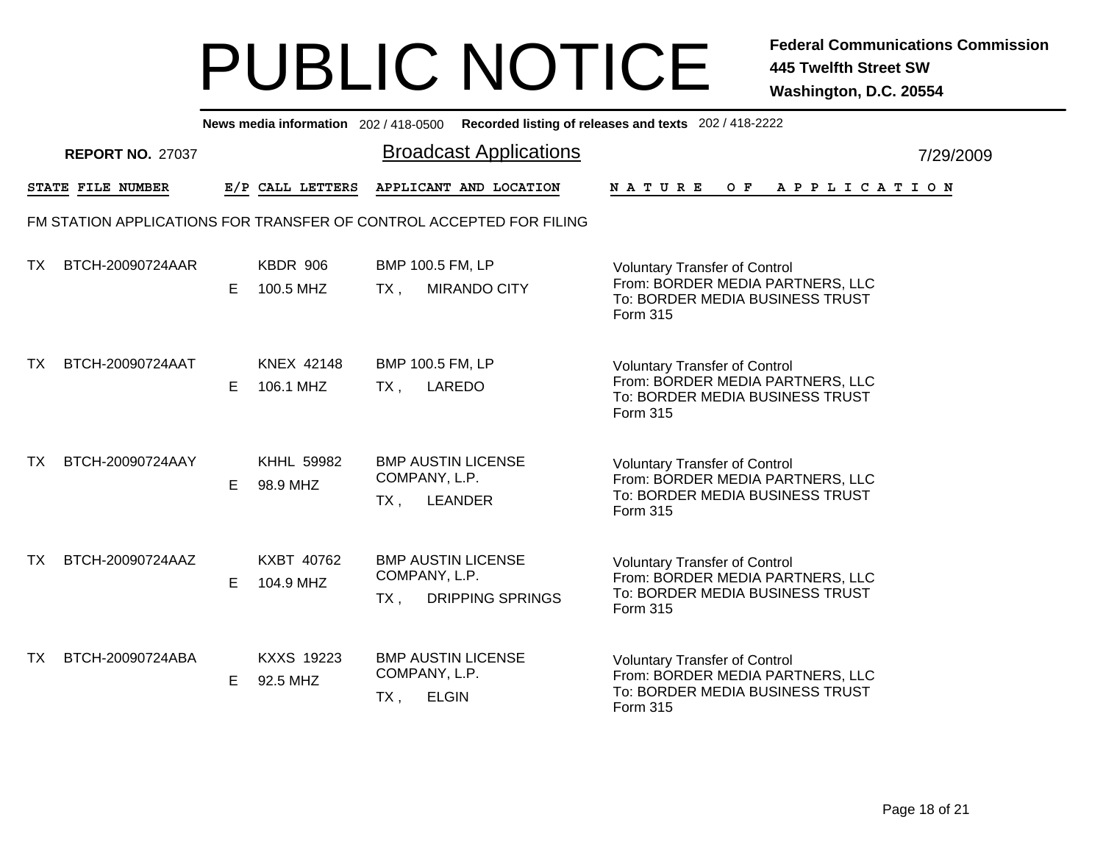|           | News media information 202/418-0500 Recorded listing of releases and texts 202/418-2222 |    |                               |                               |                                                      |                                                                                                                         |  |  |  |  |  |  |  |                |  |           |  |  |  |
|-----------|-----------------------------------------------------------------------------------------|----|-------------------------------|-------------------------------|------------------------------------------------------|-------------------------------------------------------------------------------------------------------------------------|--|--|--|--|--|--|--|----------------|--|-----------|--|--|--|
|           | <b>REPORT NO. 27037</b>                                                                 |    |                               | <b>Broadcast Applications</b> |                                                      |                                                                                                                         |  |  |  |  |  |  |  |                |  | 7/29/2009 |  |  |  |
|           | STATE FILE NUMBER                                                                       |    | E/P CALL LETTERS              |                               | APPLICANT AND LOCATION                               | NATURE                                                                                                                  |  |  |  |  |  |  |  | OF APPLICATION |  |           |  |  |  |
|           | FM STATION APPLICATIONS FOR TRANSFER OF CONTROL ACCEPTED FOR FILING                     |    |                               |                               |                                                      |                                                                                                                         |  |  |  |  |  |  |  |                |  |           |  |  |  |
| TX.       | BTCH-20090724AAR                                                                        | E. | KBDR 906<br>100.5 MHZ         | BMP 100.5 FM, LP<br>$TX$ ,    | <b>MIRANDO CITY</b>                                  | <b>Voluntary Transfer of Control</b><br>From: BORDER MEDIA PARTNERS, LLC<br>To: BORDER MEDIA BUSINESS TRUST<br>Form 315 |  |  |  |  |  |  |  |                |  |           |  |  |  |
| TX.       | BTCH-20090724AAT                                                                        | E. | KNEX 42148<br>106.1 MHZ       | BMP 100.5 FM, LP<br>TX,       | LAREDO                                               | <b>Voluntary Transfer of Control</b><br>From: BORDER MEDIA PARTNERS, LLC<br>To: BORDER MEDIA BUSINESS TRUST<br>Form 315 |  |  |  |  |  |  |  |                |  |           |  |  |  |
| TX        | BTCH-20090724AAY                                                                        | E. | <b>KHHL 59982</b><br>98.9 MHZ | COMPANY, L.P.<br>TX,          | <b>BMP AUSTIN LICENSE</b><br><b>LEANDER</b>          | <b>Voluntary Transfer of Control</b><br>From: BORDER MEDIA PARTNERS, LLC<br>To: BORDER MEDIA BUSINESS TRUST<br>Form 315 |  |  |  |  |  |  |  |                |  |           |  |  |  |
| TX.       | BTCH-20090724AAZ                                                                        | E. | KXBT 40762<br>104.9 MHZ       | COMPANY, L.P.<br>$TX$ ,       | <b>BMP AUSTIN LICENSE</b><br><b>DRIPPING SPRINGS</b> | <b>Voluntary Transfer of Control</b><br>From: BORDER MEDIA PARTNERS, LLC<br>To: BORDER MEDIA BUSINESS TRUST<br>Form 315 |  |  |  |  |  |  |  |                |  |           |  |  |  |
| <b>TX</b> | BTCH-20090724ABA                                                                        | E. | <b>KXXS 19223</b><br>92.5 MHZ | COMPANY, L.P.<br>TX,          | <b>BMP AUSTIN LICENSE</b><br><b>ELGIN</b>            | <b>Voluntary Transfer of Control</b><br>From: BORDER MEDIA PARTNERS, LLC<br>To: BORDER MEDIA BUSINESS TRUST<br>Form 315 |  |  |  |  |  |  |  |                |  |           |  |  |  |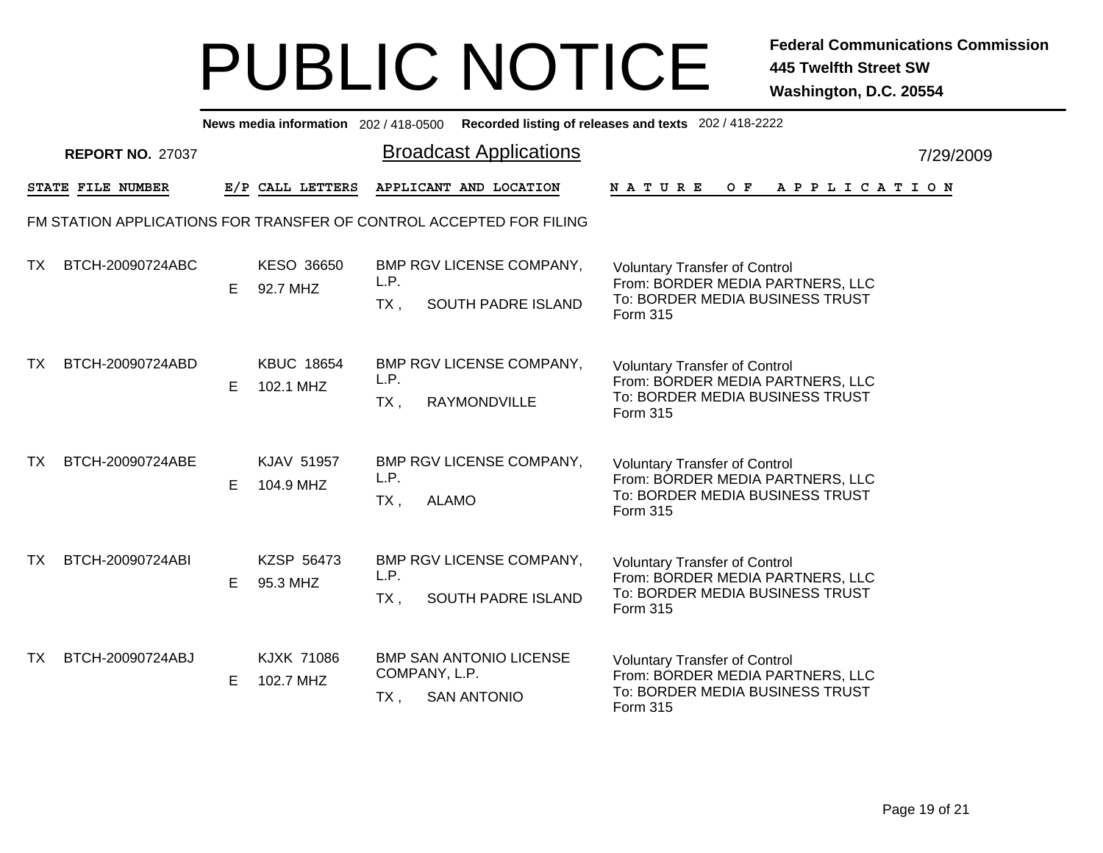|     | News media information 202/418-0500 Recorded listing of releases and texts 202/418-2222 |    |                                |                               |              |                                                      |                                                                                                                         |  |  |  |     |  |                       |  |  |  |           |  |  |  |
|-----|-----------------------------------------------------------------------------------------|----|--------------------------------|-------------------------------|--------------|------------------------------------------------------|-------------------------------------------------------------------------------------------------------------------------|--|--|--|-----|--|-----------------------|--|--|--|-----------|--|--|--|
|     | <b>REPORT NO. 27037</b>                                                                 |    |                                | <b>Broadcast Applications</b> |              |                                                      |                                                                                                                         |  |  |  |     |  |                       |  |  |  | 7/29/2009 |  |  |  |
|     | STATE FILE NUMBER                                                                       |    | E/P CALL LETTERS               |                               |              | APPLICANT AND LOCATION                               | <b>NATURE</b>                                                                                                           |  |  |  | O F |  | A P P L I C A T I O N |  |  |  |           |  |  |  |
|     | FM STATION APPLICATIONS FOR TRANSFER OF CONTROL ACCEPTED FOR FILING                     |    |                                |                               |              |                                                      |                                                                                                                         |  |  |  |     |  |                       |  |  |  |           |  |  |  |
| TX  | BTCH-20090724ABC                                                                        | E. | KESO 36650<br>92.7 MHZ         | L.P.<br>$TX$ ,                |              | BMP RGV LICENSE COMPANY,<br>SOUTH PADRE ISLAND       | <b>Voluntary Transfer of Control</b><br>From: BORDER MEDIA PARTNERS, LLC<br>To: BORDER MEDIA BUSINESS TRUST<br>Form 315 |  |  |  |     |  |                       |  |  |  |           |  |  |  |
| TX. | BTCH-20090724ABD                                                                        | E  | <b>KBUC 18654</b><br>102.1 MHZ | L.P.<br>$TX$ ,                |              | BMP RGV LICENSE COMPANY,<br>RAYMONDVILLE             | <b>Voluntary Transfer of Control</b><br>From: BORDER MEDIA PARTNERS, LLC<br>To: BORDER MEDIA BUSINESS TRUST<br>Form 315 |  |  |  |     |  |                       |  |  |  |           |  |  |  |
| TX. | BTCH-20090724ABE                                                                        | E  | KJAV 51957<br>104.9 MHZ        | L.P.<br>$TX$ ,                | <b>ALAMO</b> | BMP RGV LICENSE COMPANY,                             | <b>Voluntary Transfer of Control</b><br>From: BORDER MEDIA PARTNERS, LLC<br>To: BORDER MEDIA BUSINESS TRUST<br>Form 315 |  |  |  |     |  |                       |  |  |  |           |  |  |  |
| TX. | BTCH-20090724ABI                                                                        | Е  | KZSP 56473<br>95.3 MHZ         | L.P.<br>TX,                   |              | BMP RGV LICENSE COMPANY,<br>SOUTH PADRE ISLAND       | <b>Voluntary Transfer of Control</b><br>From: BORDER MEDIA PARTNERS, LLC<br>To: BORDER MEDIA BUSINESS TRUST<br>Form 315 |  |  |  |     |  |                       |  |  |  |           |  |  |  |
| TX. | BTCH-20090724ABJ                                                                        | E. | <b>KJXK 71086</b><br>102.7 MHZ | COMPANY, L.P.<br>TX,          |              | <b>BMP SAN ANTONIO LICENSE</b><br><b>SAN ANTONIO</b> | <b>Voluntary Transfer of Control</b><br>From: BORDER MEDIA PARTNERS, LLC<br>To: BORDER MEDIA BUSINESS TRUST<br>Form 315 |  |  |  |     |  |                       |  |  |  |           |  |  |  |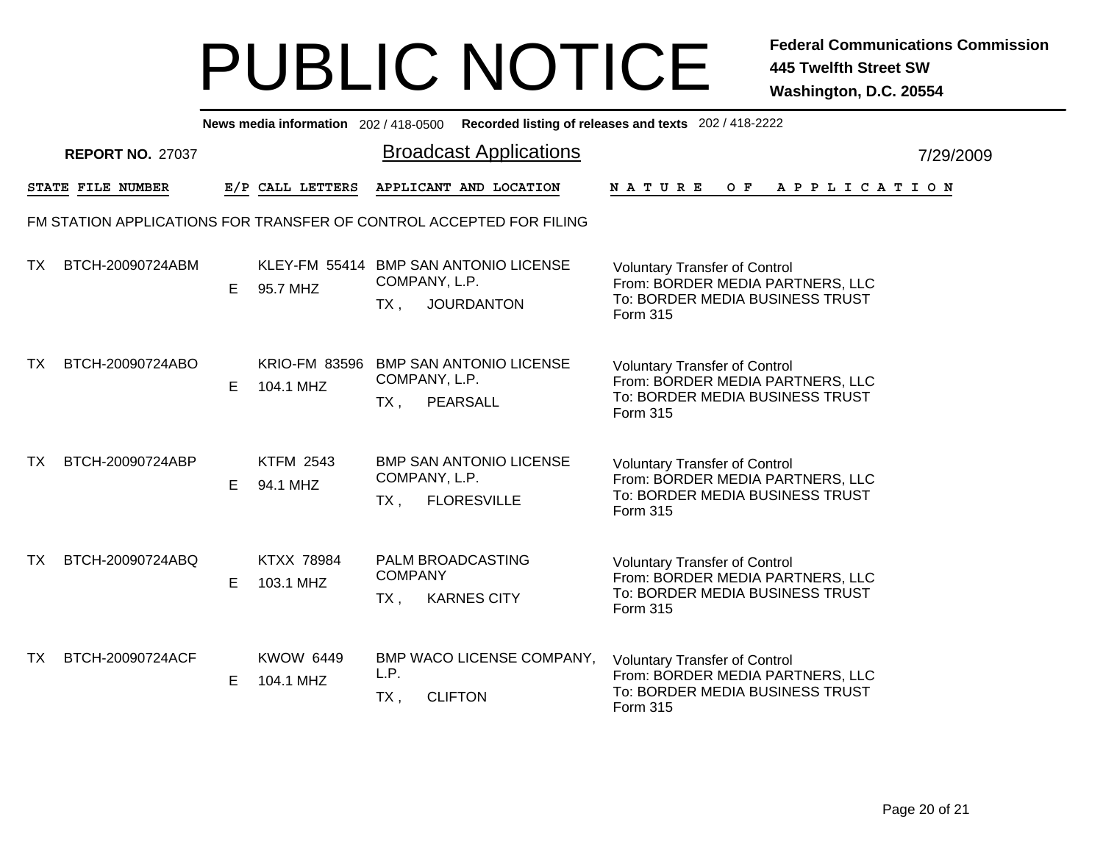|     | News media information 202/418-0500 Recorded listing of releases and texts 202/418-2222 |    |                                |                                                                                       |                                                                                                                                |           |  |  |  |  |  |  |  |
|-----|-----------------------------------------------------------------------------------------|----|--------------------------------|---------------------------------------------------------------------------------------|--------------------------------------------------------------------------------------------------------------------------------|-----------|--|--|--|--|--|--|--|
|     | <b>REPORT NO. 27037</b>                                                                 |    |                                | <b>Broadcast Applications</b>                                                         |                                                                                                                                | 7/29/2009 |  |  |  |  |  |  |  |
|     | STATE FILE NUMBER                                                                       |    | E/P CALL LETTERS               | APPLICANT AND LOCATION                                                                | <b>NATURE</b><br>O F<br>A P P L I C A T I O N                                                                                  |           |  |  |  |  |  |  |  |
|     |                                                                                         |    |                                | FM STATION APPLICATIONS FOR TRANSFER OF CONTROL ACCEPTED FOR FILING                   |                                                                                                                                |           |  |  |  |  |  |  |  |
| TX. | BTCH-20090724ABM                                                                        | E. | 95.7 MHZ                       | KLEY-FM 55414 BMP SAN ANTONIO LICENSE<br>COMPANY, L.P.<br><b>JOURDANTON</b><br>$TX$ , | <b>Voluntary Transfer of Control</b><br>From: BORDER MEDIA PARTNERS, LLC<br>To: BORDER MEDIA BUSINESS TRUST<br>Form 315        |           |  |  |  |  |  |  |  |
| TX. | BTCH-20090724ABO                                                                        | E  | 104.1 MHZ                      | KRIO-FM 83596 BMP SAN ANTONIO LICENSE<br>COMPANY, L.P.<br>PEARSALL<br>$TX$ ,          | <b>Voluntary Transfer of Control</b><br>From: BORDER MEDIA PARTNERS, LLC<br>To: BORDER MEDIA BUSINESS TRUST<br><b>Form 315</b> |           |  |  |  |  |  |  |  |
| TX. | BTCH-20090724ABP                                                                        | E  | <b>KTFM 2543</b><br>94.1 MHZ   | <b>BMP SAN ANTONIO LICENSE</b><br>COMPANY, L.P.<br>$TX$ ,<br><b>FLORESVILLE</b>       | <b>Voluntary Transfer of Control</b><br>From: BORDER MEDIA PARTNERS, LLC<br>To: BORDER MEDIA BUSINESS TRUST<br><b>Form 315</b> |           |  |  |  |  |  |  |  |
| TX. | BTCH-20090724ABQ                                                                        | Е  | <b>KTXX 78984</b><br>103.1 MHZ | <b>PALM BROADCASTING</b><br><b>COMPANY</b><br>TX,<br><b>KARNES CITY</b>               | <b>Voluntary Transfer of Control</b><br>From: BORDER MEDIA PARTNERS, LLC<br>To: BORDER MEDIA BUSINESS TRUST<br>Form 315        |           |  |  |  |  |  |  |  |
| TX. | BTCH-20090724ACF                                                                        | E  | <b>KWOW 6449</b><br>104.1 MHZ  | BMP WACO LICENSE COMPANY,<br>L.P.<br><b>CLIFTON</b><br>TX,                            | <b>Voluntary Transfer of Control</b><br>From: BORDER MEDIA PARTNERS, LLC<br>To: BORDER MEDIA BUSINESS TRUST<br>Form 315        |           |  |  |  |  |  |  |  |